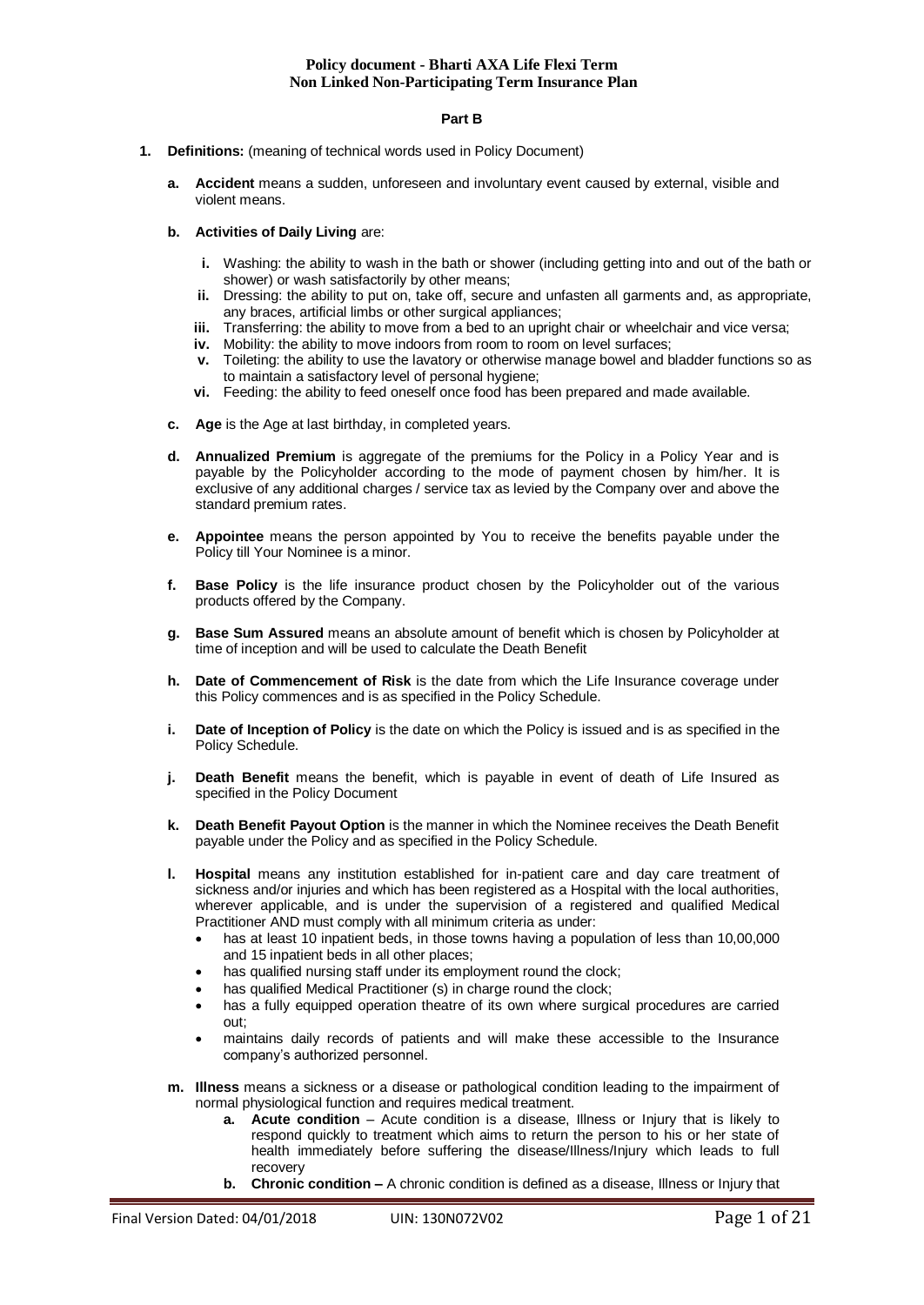#### **Part B**

- **1. Definitions:** (meaning of technical words used in Policy Document)
	- **a. Accident** means a sudden, unforeseen and involuntary event caused by external, visible and violent means.
	- **b. Activities of Daily Living** are:
		- **i.** Washing: the ability to wash in the bath or shower (including getting into and out of the bath or shower) or wash satisfactorily by other means;
		- **ii.** Dressing: the ability to put on, take off, secure and unfasten all garments and, as appropriate, any braces, artificial limbs or other surgical appliances;
		- **iii.** Transferring: the ability to move from a bed to an upright chair or wheelchair and vice versa;
		- **iv.** Mobility: the ability to move indoors from room to room on level surfaces;
		- **v.** Toileting: the ability to use the lavatory or otherwise manage bowel and bladder functions so as to maintain a satisfactory level of personal hygiene;
		- **vi.** Feeding: the ability to feed oneself once food has been prepared and made available.
	- **c. Age** is the Age at last birthday, in completed years.
	- **d. Annualized Premium** is aggregate of the premiums for the Policy in a Policy Year and is payable by the Policyholder according to the mode of payment chosen by him/her. It is exclusive of any additional charges / service tax as levied by the Company over and above the standard premium rates.
	- **e. Appointee** means the person appointed by You to receive the benefits payable under the Policy till Your Nominee is a minor.
	- **f. Base Policy** is the life insurance product chosen by the Policyholder out of the various products offered by the Company.
	- **g. Base Sum Assured** means an absolute amount of benefit which is chosen by Policyholder at time of inception and will be used to calculate the Death Benefit
	- **h. Date of Commencement of Risk** is the date from which the Life Insurance coverage under this Policy commences and is as specified in the Policy Schedule.
	- **i.** Date of Inception of Policy is the date on which the Policy is issued and is as specified in the Policy Schedule.
	- **j. Death Benefit** means the benefit, which is payable in event of death of Life Insured as specified in the Policy Document
	- **k. Death Benefit Payout Option** is the manner in which the Nominee receives the Death Benefit payable under the Policy and as specified in the Policy Schedule.
	- **l. Hospital** means any institution established for in-patient care and day care treatment of sickness and/or injuries and which has been registered as a Hospital with the local authorities, wherever applicable, and is under the supervision of a registered and qualified Medical Practitioner AND must comply with all minimum criteria as under:
		- has at least 10 inpatient beds, in those towns having a population of less than 10,00,000 and 15 inpatient beds in all other places;
		- has qualified nursing staff under its employment round the clock;
		- has qualified Medical Practitioner (s) in charge round the clock;
		- has a fully equipped operation theatre of its own where surgical procedures are carried out;
		- maintains daily records of patients and will make these accessible to the Insurance company's authorized personnel.
	- **m. Illness** means a sickness or a disease or pathological condition leading to the impairment of normal physiological function and requires medical treatment.
		- **a. Acute condition** Acute condition is a disease, Illness or Injury that is likely to respond quickly to treatment which aims to return the person to his or her state of health immediately before suffering the disease/Illness/Injury which leads to full recovery
		- **b. Chronic condition –** A chronic condition is defined as a disease, Illness or Injury that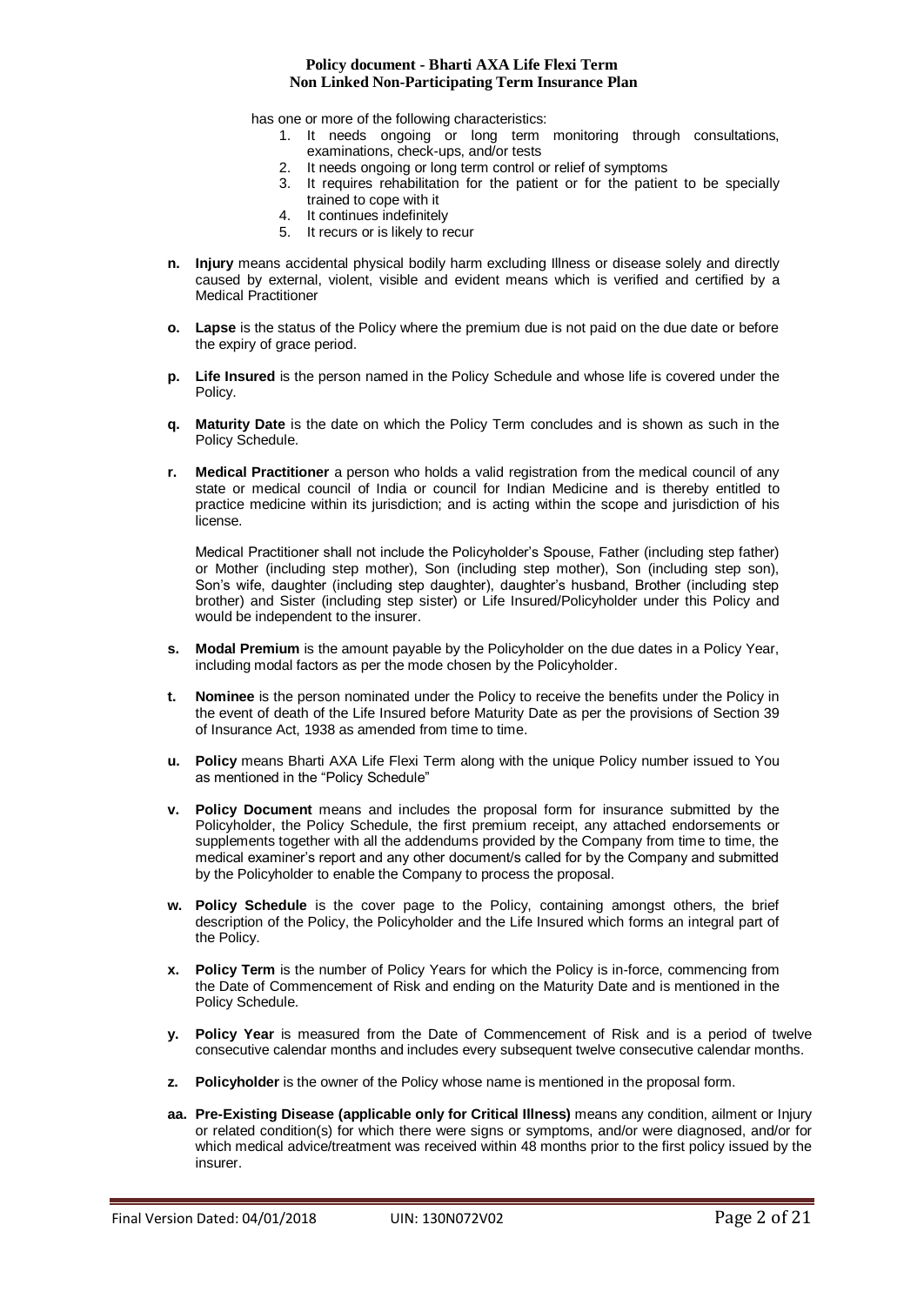has one or more of the following characteristics:

- 1. It needs ongoing or long term monitoring through consultations, examinations, check-ups, and/or tests
- 2. It needs ongoing or long term control or relief of symptoms
- 3. It requires rehabilitation for the patient or for the patient to be specially trained to cope with it
- 4. It continues indefinitely
- 5. It recurs or is likely to recur
- **n. Injury** means accidental physical bodily harm excluding Illness or disease solely and directly caused by external, violent, visible and evident means which is verified and certified by a Medical Practitioner
- **o. Lapse** is the status of the Policy where the premium due is not paid on the due date or before the expiry of grace period.
- **p. Life Insured** is the person named in the Policy Schedule and whose life is covered under the Policy.
- **q. Maturity Date** is the date on which the Policy Term concludes and is shown as such in the Policy Schedule.
- **r. Medical Practitioner** a person who holds a valid registration from the medical council of any state or medical council of India or council for Indian Medicine and is thereby entitled to practice medicine within its jurisdiction; and is acting within the scope and jurisdiction of his license.

Medical Practitioner shall not include the Policyholder's Spouse, Father (including step father) or Mother (including step mother), Son (including step mother), Son (including step son), Son's wife, daughter (including step daughter), daughter's husband, Brother (including step brother) and Sister (including step sister) or Life Insured/Policyholder under this Policy and would be independent to the insurer.

- **s. Modal Premium** is the amount payable by the Policyholder on the due dates in a Policy Year, including modal factors as per the mode chosen by the Policyholder.
- **t. Nominee** is the person nominated under the Policy to receive the benefits under the Policy in the event of death of the Life Insured before Maturity Date as per the provisions of Section 39 of Insurance Act, 1938 as amended from time to time.
- **u. Policy** means Bharti AXA Life Flexi Term along with the unique Policy number issued to You as mentioned in the "Policy Schedule"
- **v. Policy Document** means and includes the proposal form for insurance submitted by the Policyholder, the Policy Schedule, the first premium receipt, any attached endorsements or supplements together with all the addendums provided by the Company from time to time, the medical examiner's report and any other document/s called for by the Company and submitted by the Policyholder to enable the Company to process the proposal.
- **w. Policy Schedule** is the cover page to the Policy, containing amongst others, the brief description of the Policy, the Policyholder and the Life Insured which forms an integral part of the Policy.
- **x. Policy Term** is the number of Policy Years for which the Policy is in-force, commencing from the Date of Commencement of Risk and ending on the Maturity Date and is mentioned in the Policy Schedule.
- **y. Policy Year** is measured from the Date of Commencement of Risk and is a period of twelve consecutive calendar months and includes every subsequent twelve consecutive calendar months.
- **z. Policyholder** is the owner of the Policy whose name is mentioned in the proposal form.
- **aa. Pre-Existing Disease (applicable only for Critical Illness)** means any condition, ailment or Injury or related condition(s) for which there were signs or symptoms, and/or were diagnosed, and/or for which medical advice/treatment was received within 48 months prior to the first policy issued by the insurer.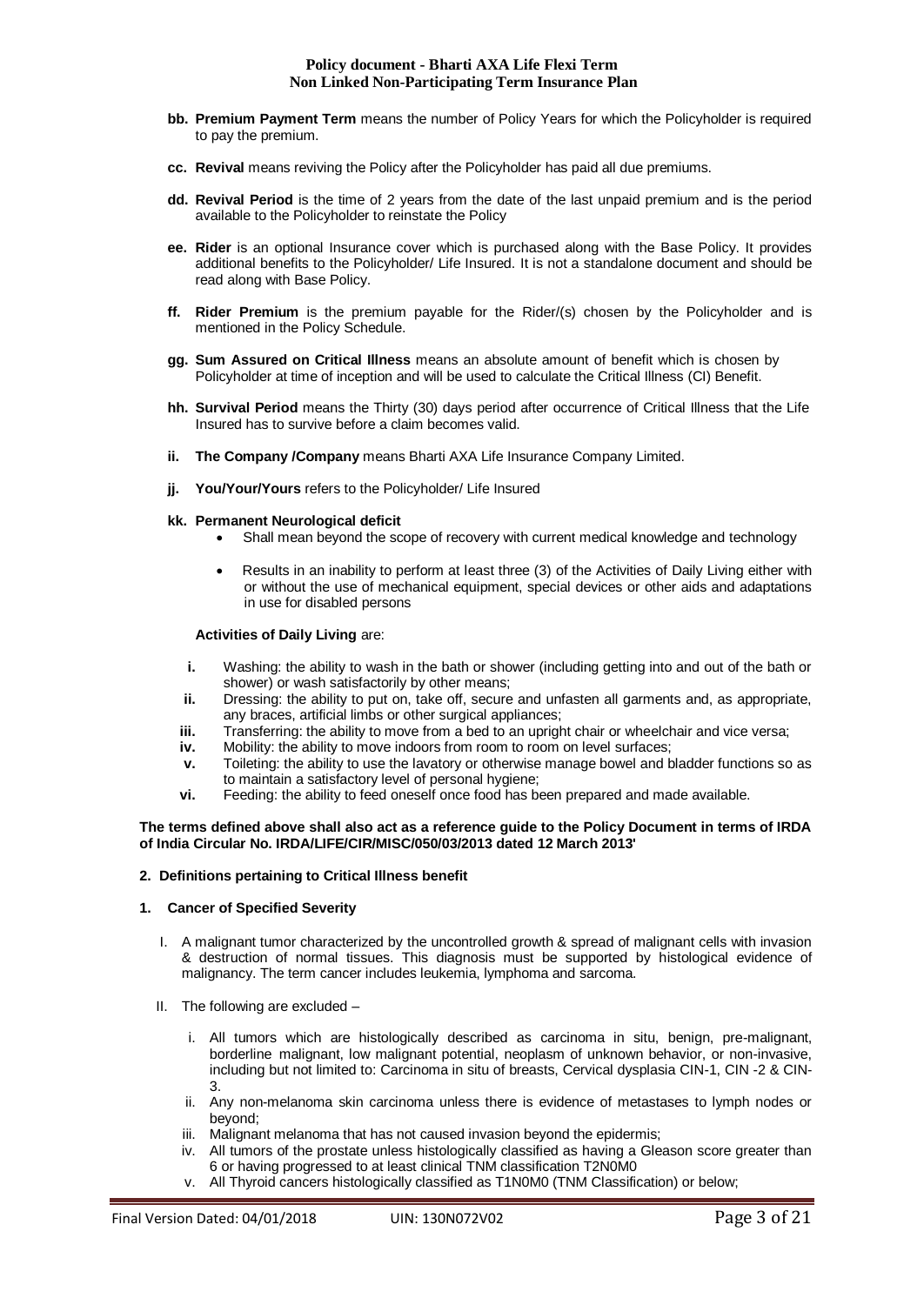- **bb. Premium Payment Term** means the number of Policy Years for which the Policyholder is required to pay the premium.
- **cc. Revival** means reviving the Policy after the Policyholder has paid all due premiums.
- **dd. Revival Period** is the time of 2 years from the date of the last unpaid premium and is the period available to the Policyholder to reinstate the Policy
- **ee. Rider** is an optional Insurance cover which is purchased along with the Base Policy. It provides additional benefits to the Policyholder/ Life Insured. It is not a standalone document and should be read along with Base Policy.
- **ff. Rider Premium** is the premium payable for the Rider/(s) chosen by the Policyholder and is mentioned in the Policy Schedule.
- **gg. Sum Assured on Critical Illness** means an absolute amount of benefit which is chosen by Policyholder at time of inception and will be used to calculate the Critical Illness (CI) Benefit.
- **hh. Survival Period** means the Thirty (30) days period after occurrence of Critical Illness that the Life Insured has to survive before a claim becomes valid.
- **ii. The Company /Company** means Bharti AXA Life Insurance Company Limited.
- **ji.** You/Your/Yours refers to the Policyholder/ Life Insured
- **kk. Permanent Neurological deficit**
	- Shall mean beyond the scope of recovery with current medical knowledge and technology
	- Results in an inability to perform at least three (3) of the Activities of Daily Living either with or without the use of mechanical equipment, special devices or other aids and adaptations in use for disabled persons

# **Activities of Daily Living** are:

- **i.** Washing: the ability to wash in the bath or shower (including getting into and out of the bath or shower) or wash satisfactorily by other means;
- **ii.** Dressing: the ability to put on, take off, secure and unfasten all garments and, as appropriate, any braces, artificial limbs or other surgical appliances;
- **iii.** Transferring: the ability to move from a bed to an upright chair or wheelchair and vice versa;
- **iv.** Mobility: the ability to move indoors from room to room on level surfaces;
- **v.** Toileting: the ability to use the lavatory or otherwise manage bowel and bladder functions so as to maintain a satisfactory level of personal hygiene;
- **vi.** Feeding: the ability to feed oneself once food has been prepared and made available.

#### **The terms defined above shall also act as a reference guide to the Policy Document in terms of IRDA of India Circular No. IRDA/LIFE/CIR/MISC/050/03/2013 dated 12 March 2013'**

# **2. Definitions pertaining to Critical Illness benefit**

#### **1. Cancer of Specified Severity**

- I. A malignant tumor characterized by the uncontrolled growth & spread of malignant cells with invasion & destruction of normal tissues. This diagnosis must be supported by histological evidence of malignancy. The term cancer includes leukemia, lymphoma and sarcoma.
- II. The following are excluded
	- i. All tumors which are histologically described as carcinoma in situ, benign, pre-malignant, borderline malignant, low malignant potential, neoplasm of unknown behavior, or non-invasive, including but not limited to: Carcinoma in situ of breasts, Cervical dysplasia CIN-1, CIN -2 & CIN-3.
	- ii. Any non-melanoma skin carcinoma unless there is evidence of metastases to lymph nodes or beyond;
	- iii. Malignant melanoma that has not caused invasion beyond the epidermis;
	- iv. All tumors of the prostate unless histologically classified as having a Gleason score greater than 6 or having progressed to at least clinical TNM classification T2N0M0
	- v. All Thyroid cancers histologically classified as T1N0M0 (TNM Classification) or below;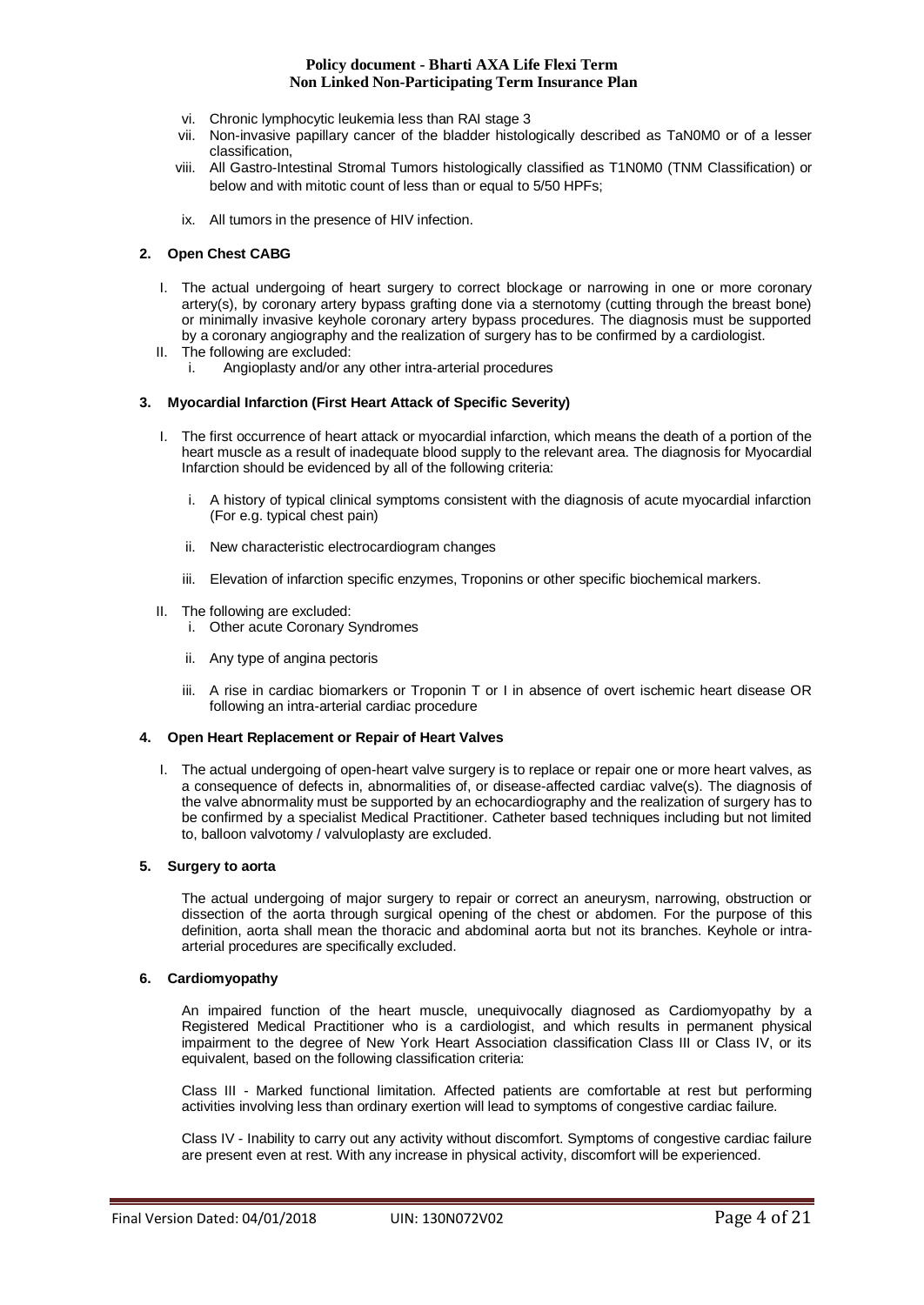- vi. Chronic lymphocytic leukemia less than RAI stage 3
- vii. Non-invasive papillary cancer of the bladder histologically described as TaN0M0 or of a lesser classification,
- viii. All Gastro-Intestinal Stromal Tumors histologically classified as T1N0M0 (TNM Classification) or below and with mitotic count of less than or equal to 5/50 HPFs;
- ix. All tumors in the presence of HIV infection.

## **2. Open Chest CABG**

- I. The actual undergoing of heart surgery to correct blockage or narrowing in one or more coronary artery(s), by coronary artery bypass grafting done via a sternotomy (cutting through the breast bone) or minimally invasive keyhole coronary artery bypass procedures. The diagnosis must be supported by a coronary angiography and the realization of surgery has to be confirmed by a cardiologist.
- II. The following are excluded:
	- i. Angioplasty and/or any other intra-arterial procedures

#### **3. Myocardial Infarction (First Heart Attack of Specific Severity)**

- I. The first occurrence of heart attack or myocardial infarction, which means the death of a portion of the heart muscle as a result of inadequate blood supply to the relevant area. The diagnosis for Myocardial Infarction should be evidenced by all of the following criteria:
	- i. A history of typical clinical symptoms consistent with the diagnosis of acute myocardial infarction (For e.g. typical chest pain)
	- ii. New characteristic electrocardiogram changes
	- iii. Elevation of infarction specific enzymes, Troponins or other specific biochemical markers.
- II. The following are excluded:
	- i. Other acute Coronary Syndromes
	- ii. Any type of angina pectoris
	- iii. A rise in cardiac biomarkers or Troponin T or I in absence of overt ischemic heart disease OR following an intra-arterial cardiac procedure

#### **4. Open Heart Replacement or Repair of Heart Valves**

I. The actual undergoing of open-heart valve surgery is to replace or repair one or more heart valves, as a consequence of defects in, abnormalities of, or disease-affected cardiac valve(s). The diagnosis of the valve abnormality must be supported by an echocardiography and the realization of surgery has to be confirmed by a specialist Medical Practitioner. Catheter based techniques including but not limited to, balloon valvotomy / valvuloplasty are excluded.

#### **5. Surgery to aorta**

The actual undergoing of major surgery to repair or correct an aneurysm, narrowing, obstruction or dissection of the aorta through surgical opening of the chest or abdomen. For the purpose of this definition, aorta shall mean the thoracic and abdominal aorta but not its branches. Keyhole or intraarterial procedures are specifically excluded.

#### **6. Cardiomyopathy**

An impaired function of the heart muscle, unequivocally diagnosed as Cardiomyopathy by a Registered Medical Practitioner who is a cardiologist, and which results in permanent physical impairment to the degree of New York Heart Association classification Class III or Class IV, or its equivalent, based on the following classification criteria:

Class III - Marked functional limitation. Affected patients are comfortable at rest but performing activities involving less than ordinary exertion will lead to symptoms of congestive cardiac failure.

Class IV - Inability to carry out any activity without discomfort. Symptoms of congestive cardiac failure are present even at rest. With any increase in physical activity, discomfort will be experienced.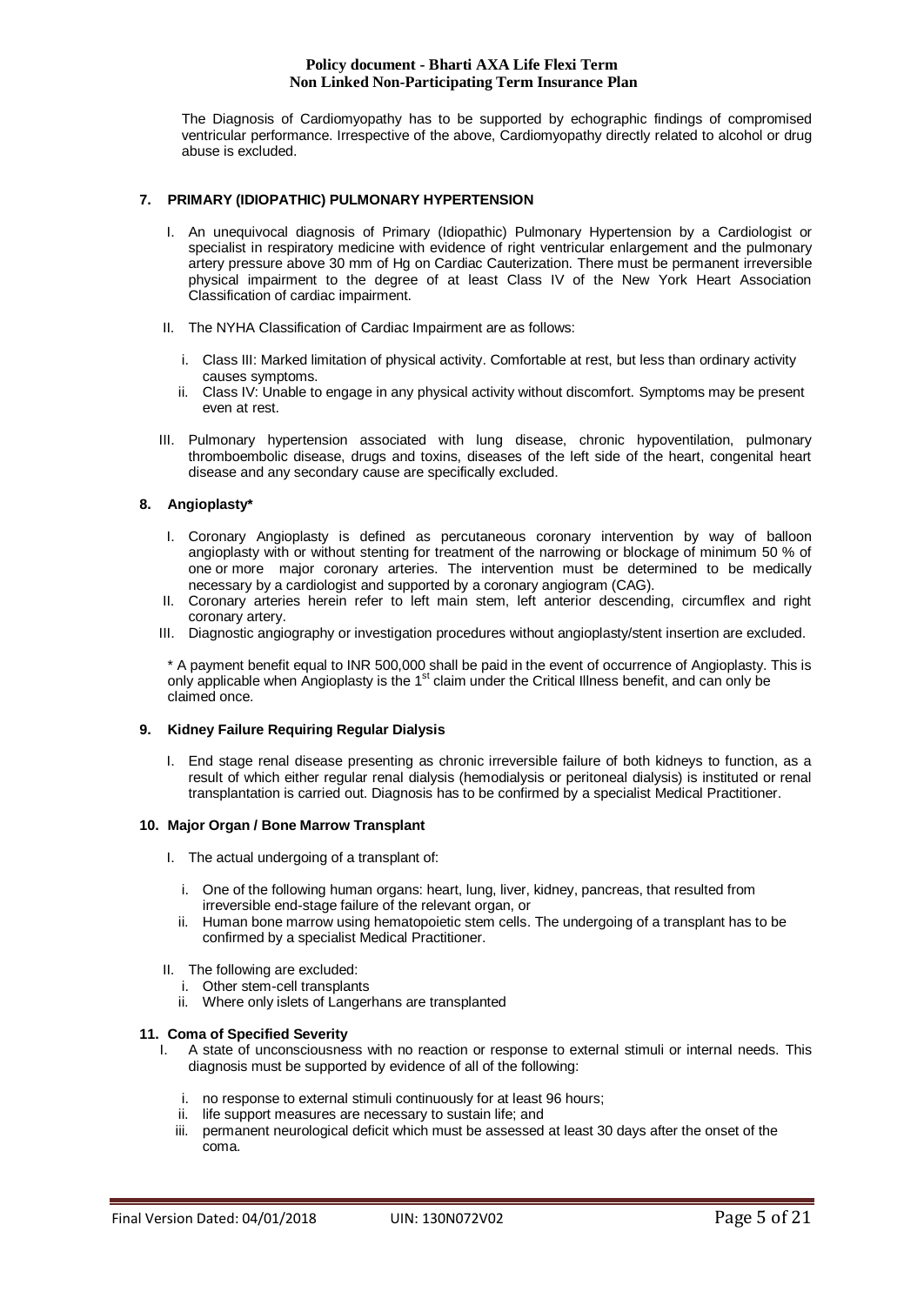The Diagnosis of Cardiomyopathy has to be supported by echographic findings of compromised ventricular performance. Irrespective of the above, Cardiomyopathy directly related to alcohol or drug abuse is excluded.

# **7. PRIMARY (IDIOPATHIC) PULMONARY HYPERTENSION**

- I. An unequivocal diagnosis of Primary (Idiopathic) Pulmonary Hypertension by a Cardiologist or specialist in respiratory medicine with evidence of right ventricular enlargement and the pulmonary artery pressure above 30 mm of Hg on Cardiac Cauterization. There must be permanent irreversible physical impairment to the degree of at least Class IV of the New York Heart Association Classification of cardiac impairment.
- II. The NYHA Classification of Cardiac Impairment are as follows:
	- i. Class III: Marked limitation of physical activity. Comfortable at rest, but less than ordinary activity causes symptoms.
	- ii. Class IV: Unable to engage in any physical activity without discomfort. Symptoms may be present even at rest.
- III. Pulmonary hypertension associated with lung disease, chronic hypoventilation, pulmonary thromboembolic disease, drugs and toxins, diseases of the left side of the heart, congenital heart disease and any secondary cause are specifically excluded.

# **8. Angioplasty\***

- I. Coronary Angioplasty is defined as percutaneous coronary intervention by way of balloon angioplasty with or without stenting for treatment of the narrowing or blockage of minimum 50 % of one or more major coronary arteries. The intervention must be determined to be medically necessary by a cardiologist and supported by a coronary angiogram (CAG).
- II. Coronary arteries herein refer to left main stem, left anterior descending, circumflex and right coronary artery.
- III. Diagnostic angiography or investigation procedures without angioplasty/stent insertion are excluded.

\* A payment benefit equal to INR 500,000 shall be paid in the event of occurrence of Angioplasty. This is only applicable when Angioplasty is the 1<sup>st</sup> claim under the Critical Illness benefit, and can only be claimed once.

# **9. Kidney Failure Requiring Regular Dialysis**

I. End stage renal disease presenting as chronic irreversible failure of both kidneys to function, as a result of which either regular renal dialysis (hemodialysis or peritoneal dialysis) is instituted or renal transplantation is carried out. Diagnosis has to be confirmed by a specialist Medical Practitioner.

# **10. Major Organ / Bone Marrow Transplant**

- I. The actual undergoing of a transplant of:
	- i. One of the following human organs: heart, lung, liver, kidney, pancreas, that resulted from irreversible end-stage failure of the relevant organ, or
	- ii. Human bone marrow using hematopoietic stem cells. The undergoing of a transplant has to be confirmed by a specialist Medical Practitioner.
- II. The following are excluded:
	- i. Other stem-cell transplants
	- ii. Where only islets of Langerhans are transplanted

#### **11. Coma of Specified Severity**

- I. A state of unconsciousness with no reaction or response to external stimuli or internal needs. This diagnosis must be supported by evidence of all of the following:
	- i. no response to external stimuli continuously for at least 96 hours;
	- ii. life support measures are necessary to sustain life; and
	- iii. permanent neurological deficit which must be assessed at least 30 days after the onset of the coma.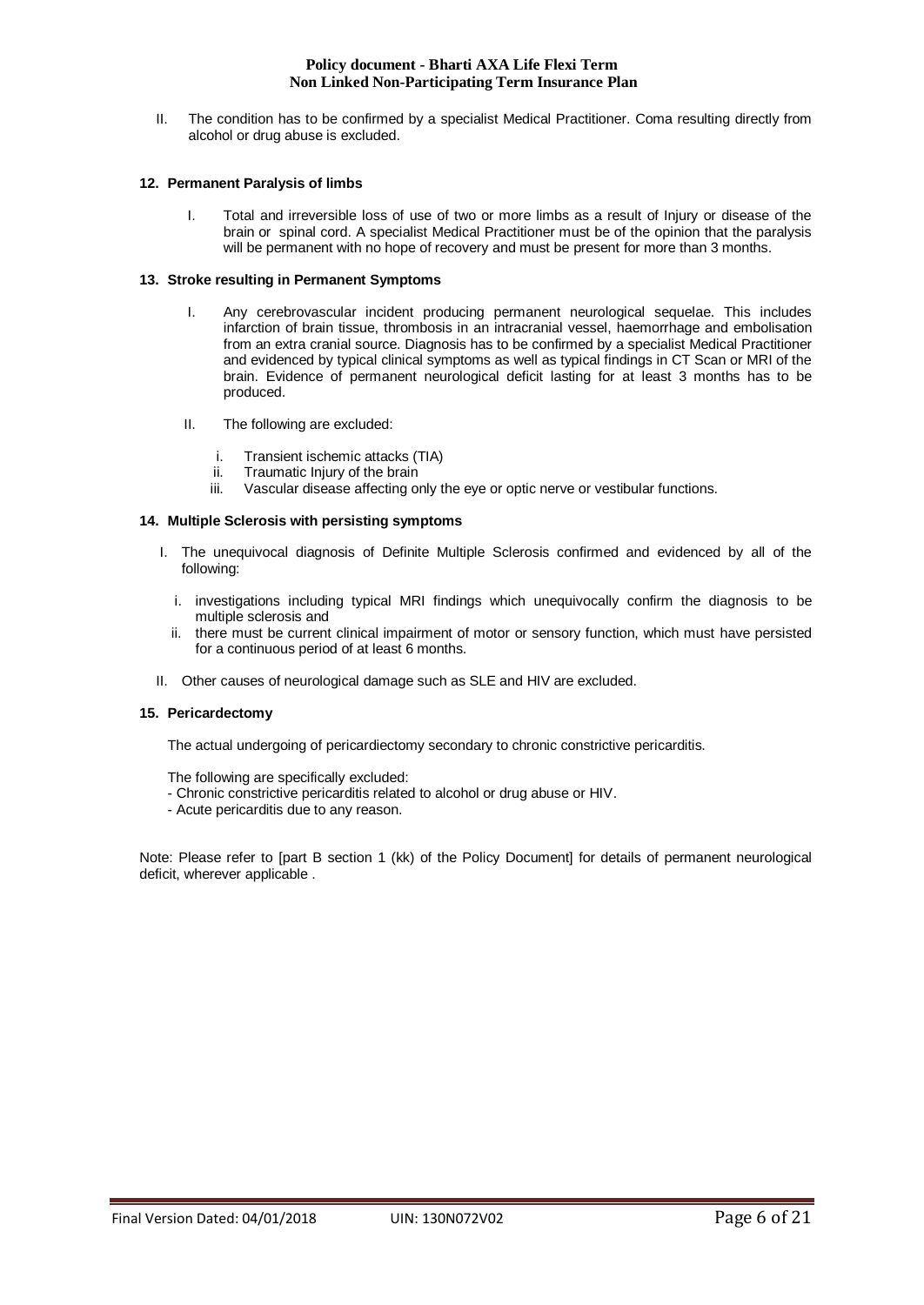II. The condition has to be confirmed by a specialist Medical Practitioner. Coma resulting directly from alcohol or drug abuse is excluded.

# **12. Permanent Paralysis of limbs**

I. Total and irreversible loss of use of two or more limbs as a result of Injury or disease of the brain or spinal cord. A specialist Medical Practitioner must be of the opinion that the paralysis will be permanent with no hope of recovery and must be present for more than 3 months.

# **13. Stroke resulting in Permanent Symptoms**

- I. Any cerebrovascular incident producing permanent neurological sequelae. This includes infarction of brain tissue, thrombosis in an intracranial vessel, haemorrhage and embolisation from an extra cranial source. Diagnosis has to be confirmed by a specialist Medical Practitioner and evidenced by typical clinical symptoms as well as typical findings in CT Scan or MRI of the brain. Evidence of permanent neurological deficit lasting for at least 3 months has to be produced.
- II. The following are excluded:
	- i. Transient ischemic attacks (TIA)
	- ii. Traumatic Injury of the brain<br>iii. Vascular disease affecting or
	- Vascular disease affecting only the eye or optic nerve or vestibular functions.

## **14. Multiple Sclerosis with persisting symptoms**

- I. The unequivocal diagnosis of Definite Multiple Sclerosis confirmed and evidenced by all of the following:
	- i. investigations including typical MRI findings which unequivocally confirm the diagnosis to be multiple sclerosis and
	- ii. there must be current clinical impairment of motor or sensory function, which must have persisted for a continuous period of at least 6 months.
- II. Other causes of neurological damage such as SLE and HIV are excluded.

#### **15. Pericardectomy**

The actual undergoing of pericardiectomy secondary to chronic constrictive pericarditis.

The following are specifically excluded:

- Chronic constrictive pericarditis related to alcohol or drug abuse or HIV.
- Acute pericarditis due to any reason.

Note: Please refer to [part B section 1 (kk) of the Policy Document] for details of permanent neurological deficit, wherever applicable .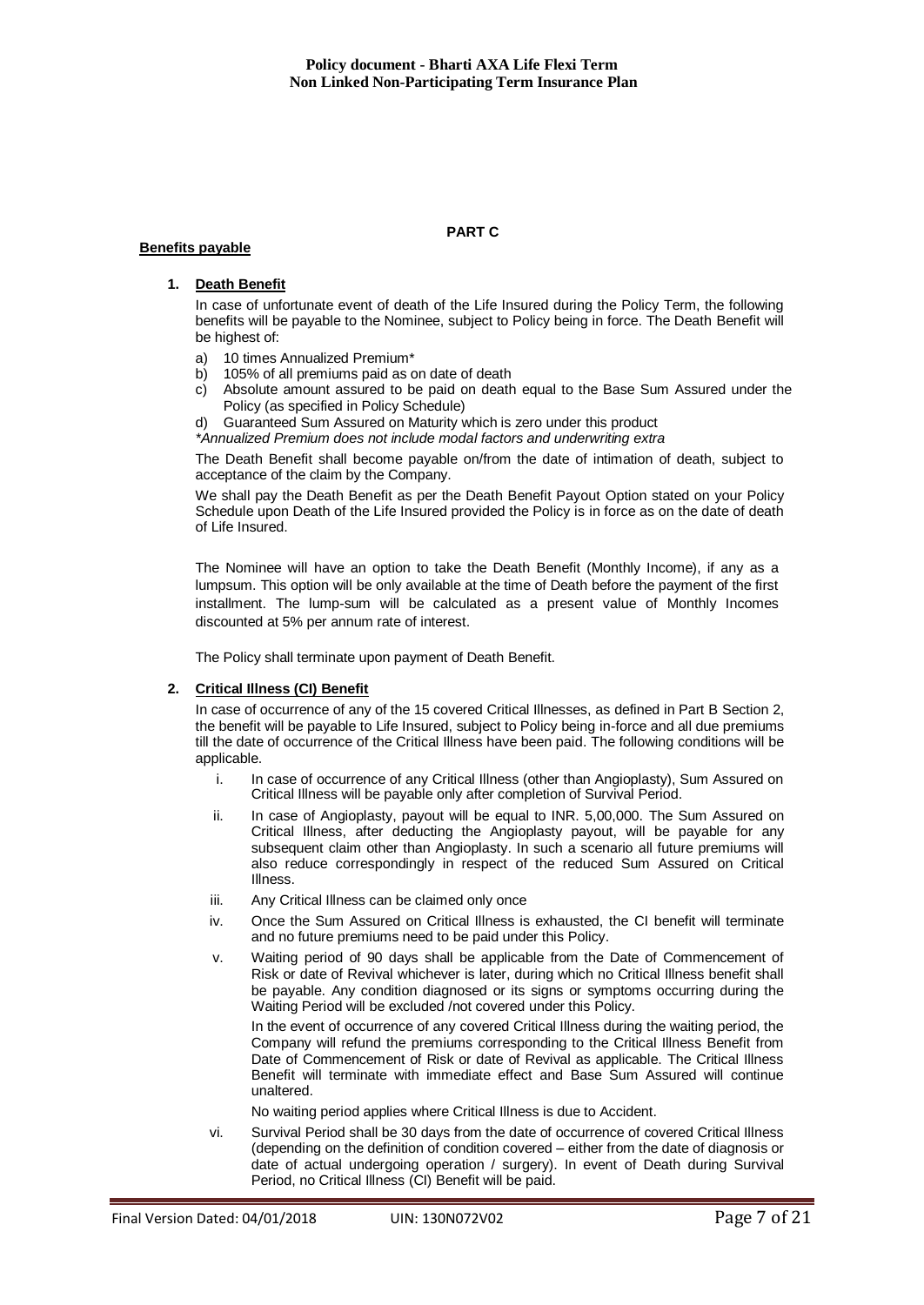## **Benefits payable**

# **PART C**

## **1. Death Benefit**

In case of unfortunate event of death of the Life Insured during the Policy Term, the following benefits will be payable to the Nominee, subject to Policy being in force. The Death Benefit will be highest of:

- a) 10 times Annualized Premium\*
- b) 105% of all premiums paid as on date of death
- c) Absolute amount assured to be paid on death equal to the Base Sum Assured under the Policy (as specified in Policy Schedule)
- Guaranteed Sum Assured on Maturity which is zero under this product

*\*Annualized Premium does not include modal factors and underwriting extra*

The Death Benefit shall become payable on/from the date of intimation of death, subject to acceptance of the claim by the Company.

We shall pay the Death Benefit as per the Death Benefit Payout Option stated on your Policy Schedule upon Death of the Life Insured provided the Policy is in force as on the date of death of Life Insured.

The Nominee will have an option to take the Death Benefit (Monthly Income), if any as a lumpsum. This option will be only available at the time of Death before the payment of the first installment. The lump-sum will be calculated as a present value of Monthly Incomes discounted at 5% per annum rate of interest.

The Policy shall terminate upon payment of Death Benefit.

# **2. Critical Illness (CI) Benefit**

In case of occurrence of any of the 15 covered Critical Illnesses, as defined in Part B Section 2, the benefit will be payable to Life Insured, subject to Policy being in-force and all due premiums till the date of occurrence of the Critical Illness have been paid. The following conditions will be applicable.

- i. In case of occurrence of any Critical Illness (other than Angioplasty), Sum Assured on Critical Illness will be payable only after completion of Survival Period.
- ii. In case of Angioplasty, payout will be equal to INR. 5,00,000. The Sum Assured on Critical Illness, after deducting the Angioplasty payout, will be payable for any subsequent claim other than Angioplasty. In such a scenario all future premiums will also reduce correspondingly in respect of the reduced Sum Assured on Critical Illness.
- iii. Any Critical Illness can be claimed only once
- iv. Once the Sum Assured on Critical Illness is exhausted, the CI benefit will terminate and no future premiums need to be paid under this Policy.
- v. Waiting period of 90 days shall be applicable from the Date of Commencement of Risk or date of Revival whichever is later, during which no Critical Illness benefit shall be payable. Any condition diagnosed or its signs or symptoms occurring during the Waiting Period will be excluded /not covered under this Policy.

In the event of occurrence of any covered Critical Illness during the waiting period, the Company will refund the premiums corresponding to the Critical Illness Benefit from Date of Commencement of Risk or date of Revival as applicable. The Critical Illness Benefit will terminate with immediate effect and Base Sum Assured will continue unaltered.

No waiting period applies where Critical Illness is due to Accident.

vi. Survival Period shall be 30 days from the date of occurrence of covered Critical Illness (depending on the definition of condition covered – either from the date of diagnosis or date of actual undergoing operation / surgery). In event of Death during Survival Period, no Critical Illness (CI) Benefit will be paid.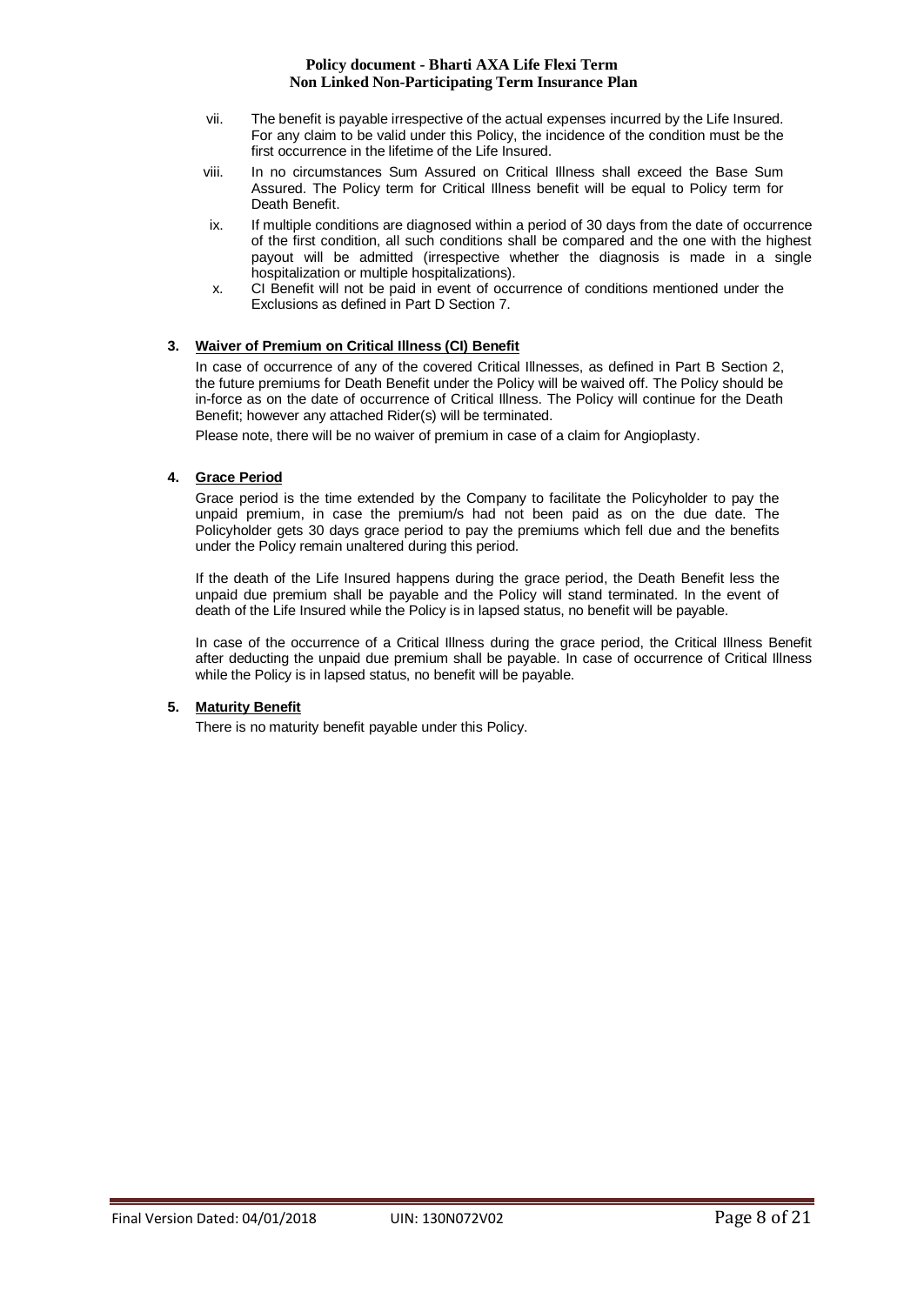- vii. The benefit is payable irrespective of the actual expenses incurred by the Life Insured. For any claim to be valid under this Policy, the incidence of the condition must be the first occurrence in the lifetime of the Life Insured.
- viii. In no circumstances Sum Assured on Critical Illness shall exceed the Base Sum Assured. The Policy term for Critical Illness benefit will be equal to Policy term for Death Benefit.
- ix. If multiple conditions are diagnosed within a period of 30 days from the date of occurrence of the first condition, all such conditions shall be compared and the one with the highest payout will be admitted (irrespective whether the diagnosis is made in a single hospitalization or multiple hospitalizations).
- x. CI Benefit will not be paid in event of occurrence of conditions mentioned under the Exclusions as defined in Part D Section 7.

# **3. Waiver of Premium on Critical Illness (CI) Benefit**

In case of occurrence of any of the covered Critical Illnesses, as defined in Part B Section 2, the future premiums for Death Benefit under the Policy will be waived off. The Policy should be in-force as on the date of occurrence of Critical Illness. The Policy will continue for the Death Benefit; however any attached Rider(s) will be terminated.

Please note, there will be no waiver of premium in case of a claim for Angioplasty.

# **4. Grace Period**

Grace period is the time extended by the Company to facilitate the Policyholder to pay the unpaid premium, in case the premium/s had not been paid as on the due date. The Policyholder gets 30 days grace period to pay the premiums which fell due and the benefits under the Policy remain unaltered during this period.

If the death of the Life Insured happens during the grace period, the Death Benefit less the unpaid due premium shall be payable and the Policy will stand terminated. In the event of death of the Life Insured while the Policy is in lapsed status, no benefit will be payable.

In case of the occurrence of a Critical Illness during the grace period, the Critical Illness Benefit after deducting the unpaid due premium shall be payable. In case of occurrence of Critical Illness while the Policy is in lapsed status, no benefit will be payable.

# **5. Maturity Benefit**

There is no maturity benefit payable under this Policy.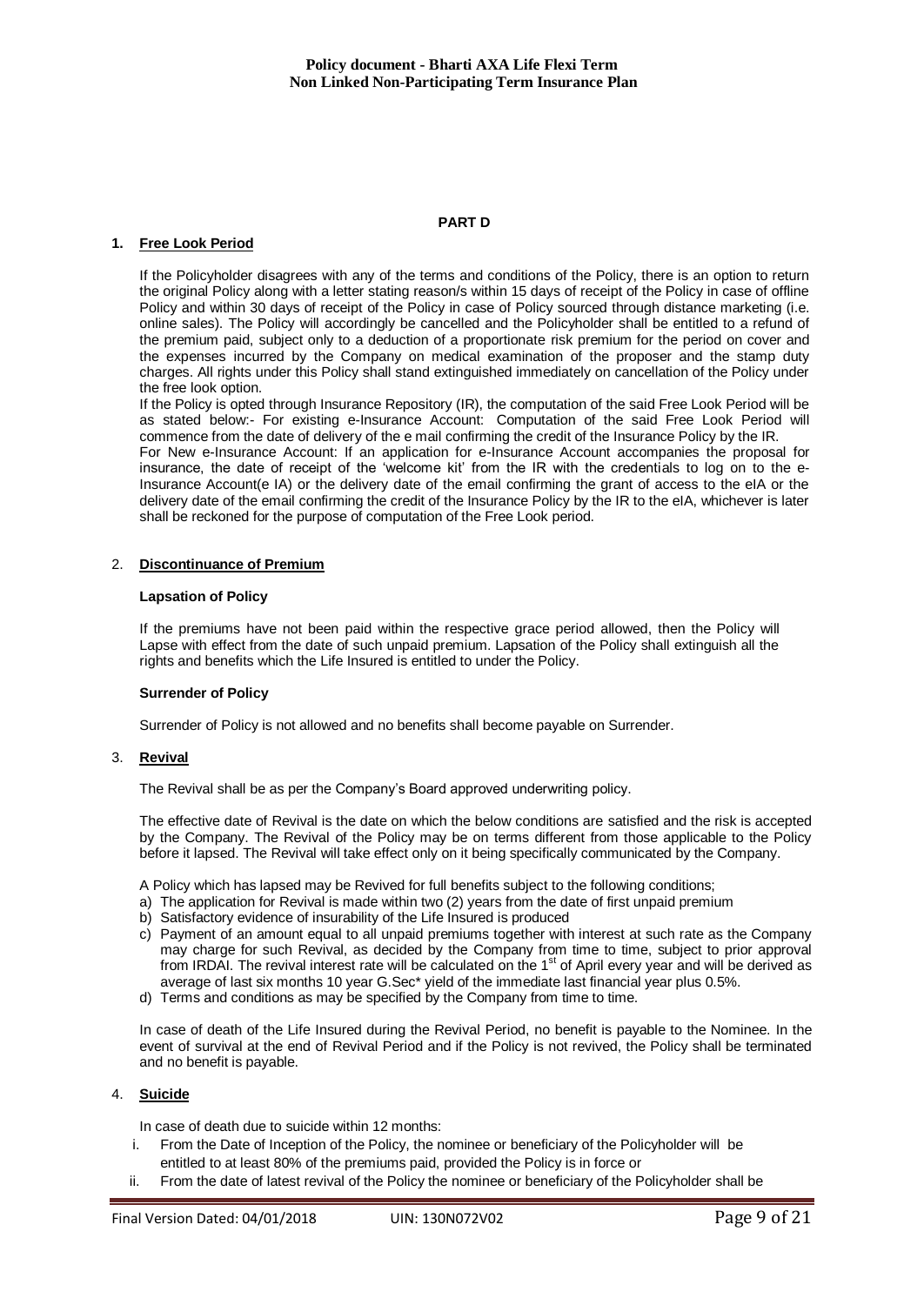# **PART D**

#### **1. Free Look Period**

If the Policyholder disagrees with any of the terms and conditions of the Policy, there is an option to return the original Policy along with a letter stating reason/s within 15 days of receipt of the Policy in case of offline Policy and within 30 days of receipt of the Policy in case of Policy sourced through distance marketing (i.e. online sales). The Policy will accordingly be cancelled and the Policyholder shall be entitled to a refund of the premium paid, subject only to a deduction of a proportionate risk premium for the period on cover and the expenses incurred by the Company on medical examination of the proposer and the stamp duty charges. All rights under this Policy shall stand extinguished immediately on cancellation of the Policy under the free look option.

If the Policy is opted through Insurance Repository (IR), the computation of the said Free Look Period will be as stated below:- For existing e-Insurance Account: Computation of the said Free Look Period will commence from the date of delivery of the e mail confirming the credit of the Insurance Policy by the IR. For New e-Insurance Account: If an application for e-Insurance Account accompanies the proposal for insurance, the date of receipt of the 'welcome kit' from the IR with the credentials to log on to the e-Insurance Account(e IA) or the delivery date of the email confirming the grant of access to the eIA or the delivery date of the email confirming the credit of the Insurance Policy by the IR to the eIA, whichever is later

# 2. **Discontinuance of Premium**

#### **Lapsation of Policy**

If the premiums have not been paid within the respective grace period allowed, then the Policy will Lapse with effect from the date of such unpaid premium. Lapsation of the Policy shall extinguish all the rights and benefits which the Life Insured is entitled to under the Policy.

#### **Surrender of Policy**

Surrender of Policy is not allowed and no benefits shall become payable on Surrender.

#### 3. **Revival**

The Revival shall be as per the Company's Board approved underwriting policy.

shall be reckoned for the purpose of computation of the Free Look period.

The effective date of Revival is the date on which the below conditions are satisfied and the risk is accepted by the Company. The Revival of the Policy may be on terms different from those applicable to the Policy before it lapsed. The Revival will take effect only on it being specifically communicated by the Company.

A Policy which has lapsed may be Revived for full benefits subject to the following conditions;

- a) The application for Revival is made within two (2) years from the date of first unpaid premium
- b) Satisfactory evidence of insurability of the Life Insured is produced
- c) Payment of an amount equal to all unpaid premiums together with interest at such rate as the Company may charge for such Revival, as decided by the Company from time to time, subject to prior approval from IRDAI. The revival interest rate will be calculated on the 1<sup>st</sup> of April every year and will be derived as average of last six months 10 year G.Sec\* yield of the immediate last financial year plus 0.5%.
- d) Terms and conditions as may be specified by the Company from time to time.

In case of death of the Life Insured during the Revival Period, no benefit is payable to the Nominee. In the event of survival at the end of Revival Period and if the Policy is not revived, the Policy shall be terminated and no benefit is payable.

# 4. **Suicide**

In case of death due to suicide within 12 months:

- i. From the Date of Inception of the Policy, the nominee or beneficiary of the Policyholder will be entitled to at least 80% of the premiums paid, provided the Policy is in force or
- ii. From the date of latest revival of the Policy the nominee or beneficiary of the Policyholder shall be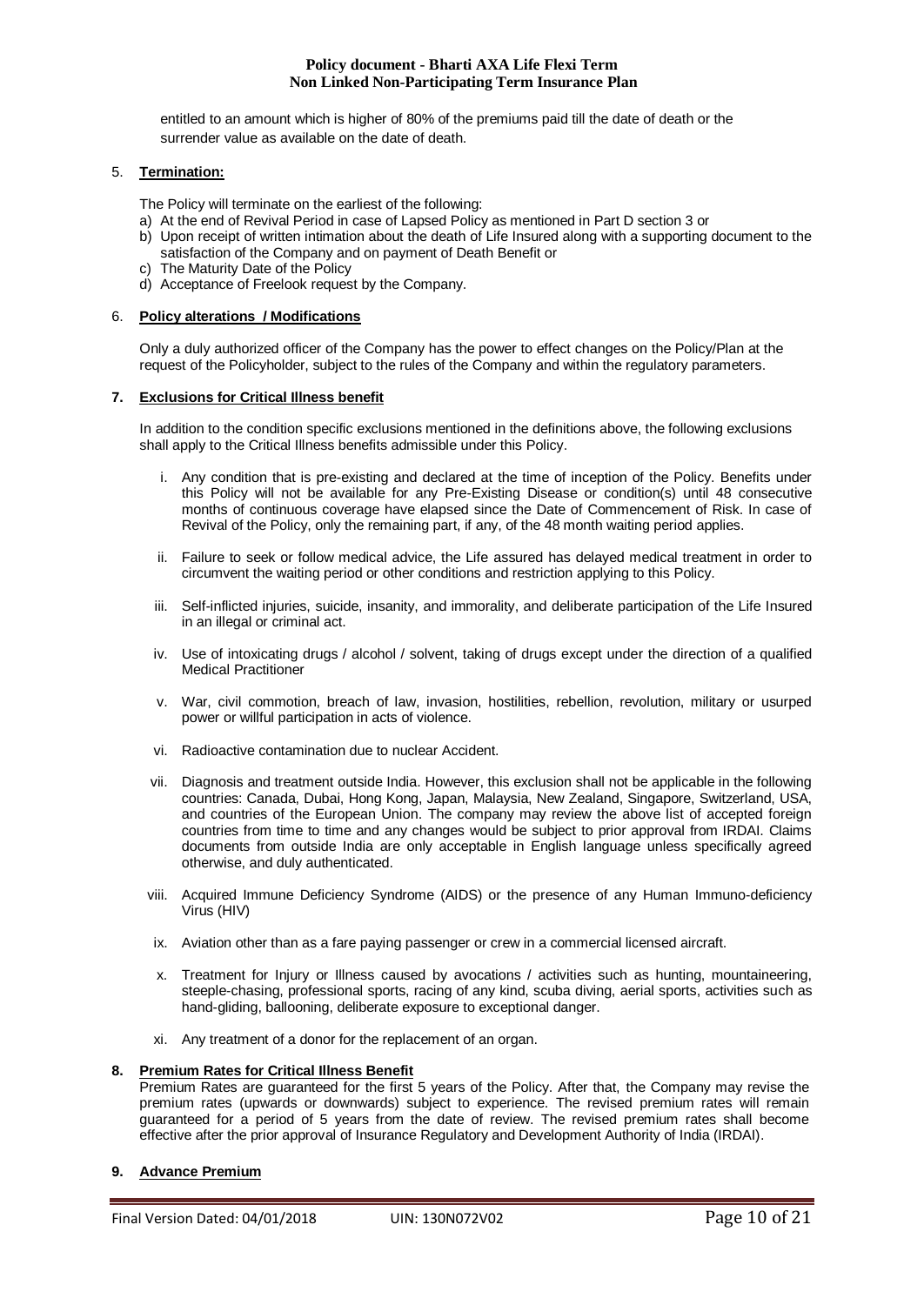entitled to an amount which is higher of 80% of the premiums paid till the date of death or the surrender value as available on the date of death.

# 5. **Termination:**

The Policy will terminate on the earliest of the following:

- a) At the end of Revival Period in case of Lapsed Policy as mentioned in Part D section 3 or
- b) Upon receipt of written intimation about the death of Life Insured along with a supporting document to the satisfaction of the Company and on payment of Death Benefit or c) The Maturity Date of the Policy
- d) Acceptance of Freelook request by the Company.

## 6. **Policy alterations / Modifications**

Only a duly authorized officer of the Company has the power to effect changes on the Policy/Plan at the request of the Policyholder, subject to the rules of the Company and within the regulatory parameters.

## **7. Exclusions for Critical Illness benefit**

In addition to the condition specific exclusions mentioned in the definitions above, the following exclusions shall apply to the Critical Illness benefits admissible under this Policy.

- i. Any condition that is pre-existing and declared at the time of inception of the Policy. Benefits under this Policy will not be available for any Pre-Existing Disease or condition(s) until 48 consecutive months of continuous coverage have elapsed since the Date of Commencement of Risk. In case of Revival of the Policy, only the remaining part, if any, of the 48 month waiting period applies.
- ii. Failure to seek or follow medical advice, the Life assured has delayed medical treatment in order to circumvent the waiting period or other conditions and restriction applying to this Policy.
- iii. Self-inflicted injuries, suicide, insanity, and immorality, and deliberate participation of the Life Insured in an illegal or criminal act.
- iv. Use of intoxicating drugs / alcohol / solvent, taking of drugs except under the direction of a qualified Medical Practitioner
- v. War, civil commotion, breach of law, invasion, hostilities, rebellion, revolution, military or usurped power or willful participation in acts of violence.
- vi. Radioactive contamination due to nuclear Accident.
- vii. Diagnosis and treatment outside India. However, this exclusion shall not be applicable in the following countries: Canada, Dubai, Hong Kong, Japan, Malaysia, New Zealand, Singapore, Switzerland, USA, and countries of the European Union. The company may review the above list of accepted foreign countries from time to time and any changes would be subject to prior approval from IRDAI. Claims documents from outside India are only acceptable in English language unless specifically agreed otherwise, and duly authenticated.
- viii. Acquired Immune Deficiency Syndrome (AIDS) or the presence of any Human Immuno-deficiency Virus (HIV)
- ix. Aviation other than as a fare paying passenger or crew in a commercial licensed aircraft.
- x. Treatment for Injury or Illness caused by avocations / activities such as hunting, mountaineering, steeple-chasing, professional sports, racing of any kind, scuba diving, aerial sports, activities such as hand-gliding, ballooning, deliberate exposure to exceptional danger.
- xi. Any treatment of a donor for the replacement of an organ.

#### **8. Premium Rates for Critical Illness Benefit**

Premium Rates are guaranteed for the first 5 years of the Policy. After that, the Company may revise the premium rates (upwards or downwards) subject to experience. The revised premium rates will remain guaranteed for a period of 5 years from the date of review. The revised premium rates shall become effective after the prior approval of Insurance Regulatory and Development Authority of India (IRDAI).

# **9. Advance Premium**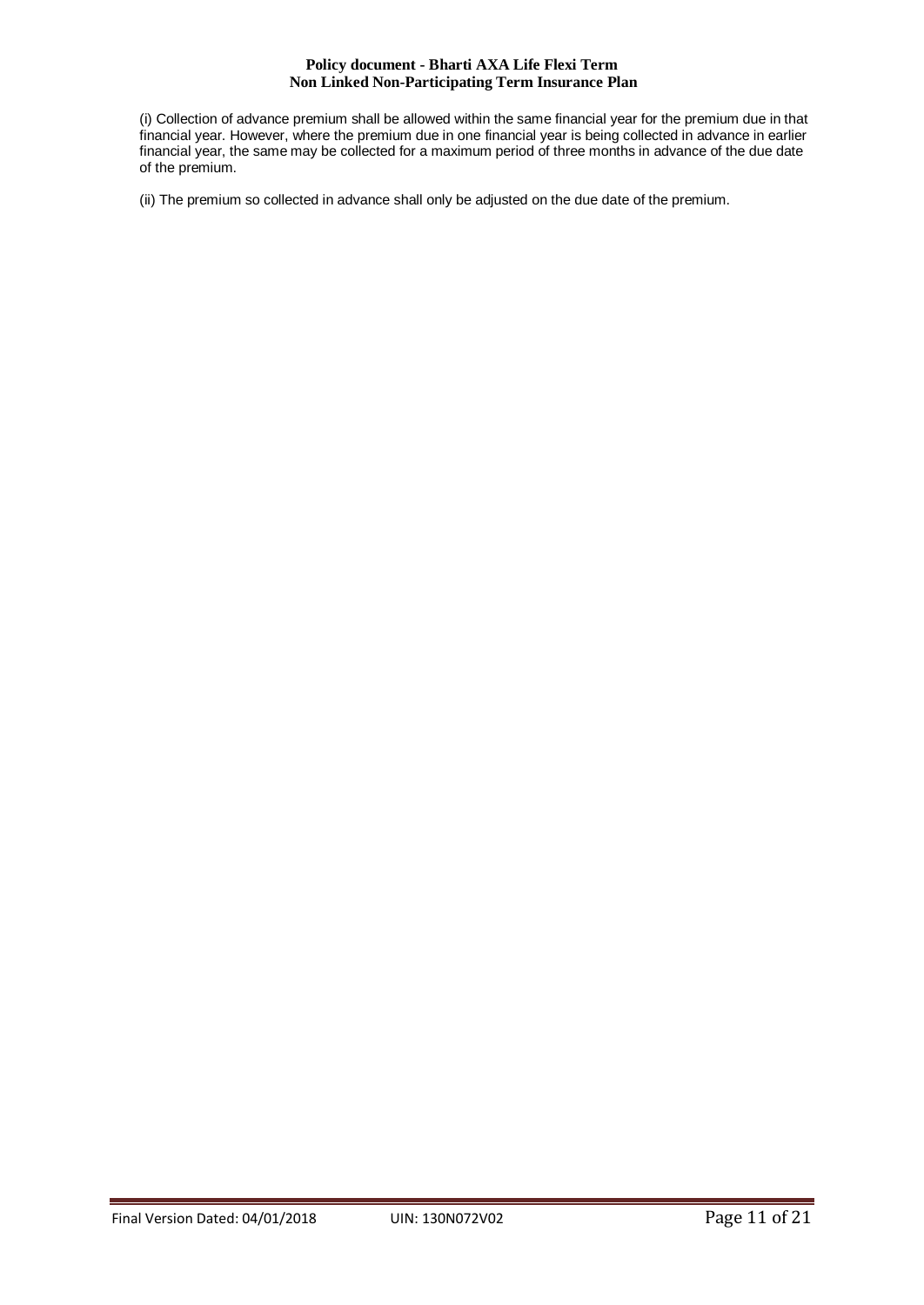(i) Collection of advance premium shall be allowed within the same financial year for the premium due in that financial year. However, where the premium due in one financial year is being collected in advance in earlier financial year, the same may be collected for a maximum period of three months in advance of the due date of the premium.

(ii) The premium so collected in advance shall only be adjusted on the due date of the premium.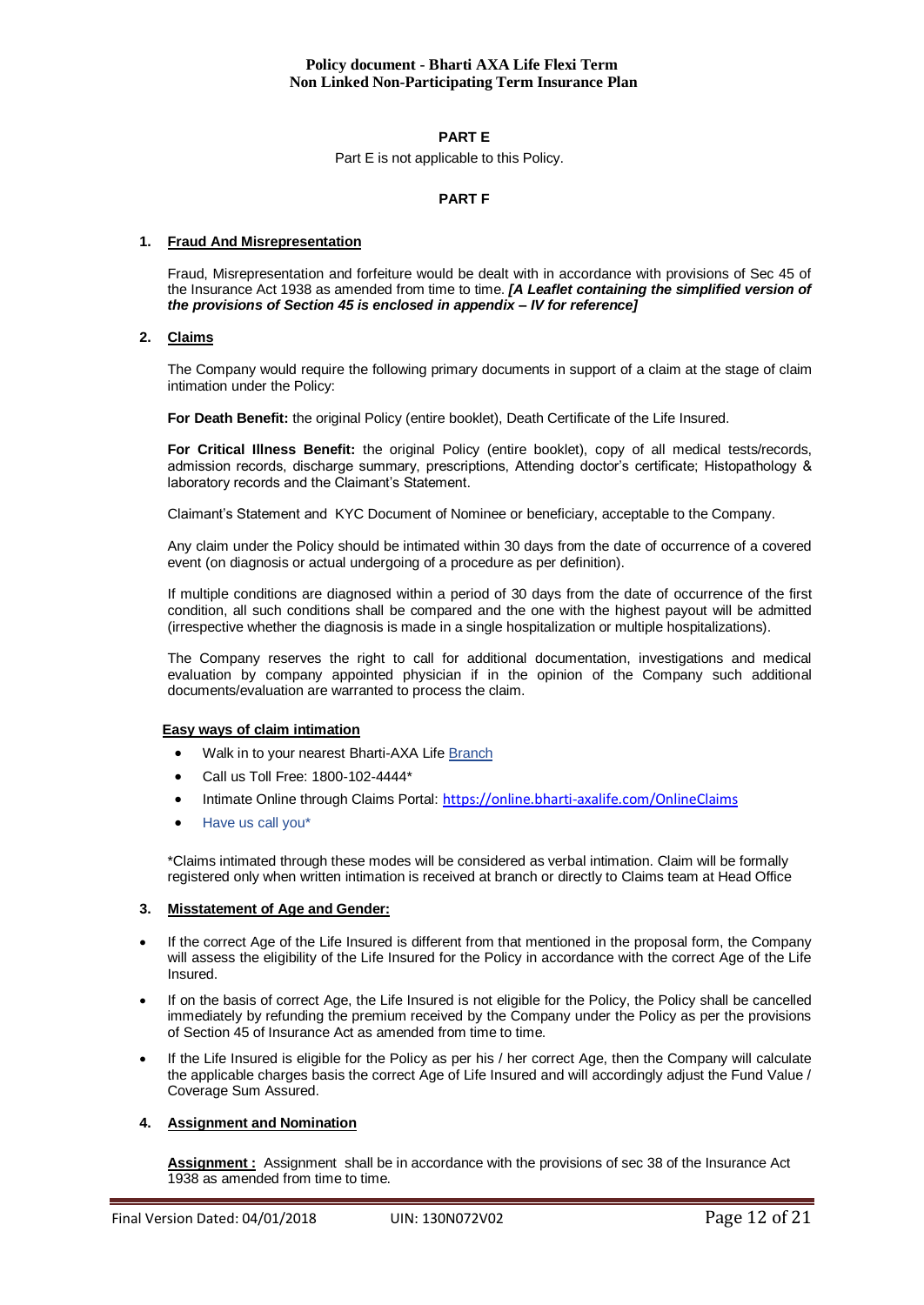# **PART E**

Part E is not applicable to this Policy.

# **PART F**

#### **1. Fraud And Misrepresentation**

Fraud, Misrepresentation and forfeiture would be dealt with in accordance with provisions of Sec 45 of the Insurance Act 1938 as amended from time to time. *[A Leaflet containing the simplified version of the provisions of Section 45 is enclosed in appendix – IV for reference]*

## **2. Claims**

The Company would require the following primary documents in support of a claim at the stage of claim intimation under the Policy:

**For Death Benefit:** the original Policy (entire booklet), Death Certificate of the Life Insured.

For Critical Illness Benefit: the original Policy (entire booklet), copy of all medical tests/records, admission records, discharge summary, prescriptions, Attending doctor's certificate; Histopathology & laboratory records and the Claimant's Statement.

Claimant's Statement and KYC Document of Nominee or beneficiary, acceptable to the Company.

Any claim under the Policy should be intimated within 30 days from the date of occurrence of a covered event (on diagnosis or actual undergoing of a procedure as per definition).

If multiple conditions are diagnosed within a period of 30 days from the date of occurrence of the first condition, all such conditions shall be compared and the one with the highest payout will be admitted (irrespective whether the diagnosis is made in a single hospitalization or multiple hospitalizations).

The Company reserves the right to call for additional documentation, investigations and medical evaluation by company appointed physician if in the opinion of the Company such additional documents/evaluation are warranted to process the claim.

#### **Easy ways of claim intimation**

- Walk in to your nearest Bharti-AXA Life [Branch](https://www.bharti-axalife.com/applications/branches/)
- Call us Toll Free: 1800-102-4444\*
- Intimate Online through Claims Portal: <https://online.bharti-axalife.com/OnlineClaims>
- [Have us call you\\*](https://www.bharti-axalife.com/applications/contactus/)

\*Claims intimated through these modes will be considered as verbal intimation. Claim will be formally registered only when written intimation is received at branch or directly to Claims team at Head Office

# **3. Misstatement of Age and Gender:**

- If the correct Age of the Life Insured is different from that mentioned in the proposal form, the Company will assess the eligibility of the Life Insured for the Policy in accordance with the correct Age of the Life Insured.
- If on the basis of correct Age, the Life Insured is not eligible for the Policy, the Policy shall be cancelled immediately by refunding the premium received by the Company under the Policy as per the provisions of Section 45 of Insurance Act as amended from time to time.
- If the Life Insured is eligible for the Policy as per his / her correct Age, then the Company will calculate the applicable charges basis the correct Age of Life Insured and will accordingly adjust the Fund Value / Coverage Sum Assured.

# **4. Assignment and Nomination**

**Assignment :** Assignment shall be in accordance with the provisions of sec 38 of the Insurance Act 1938 as amended from time to time.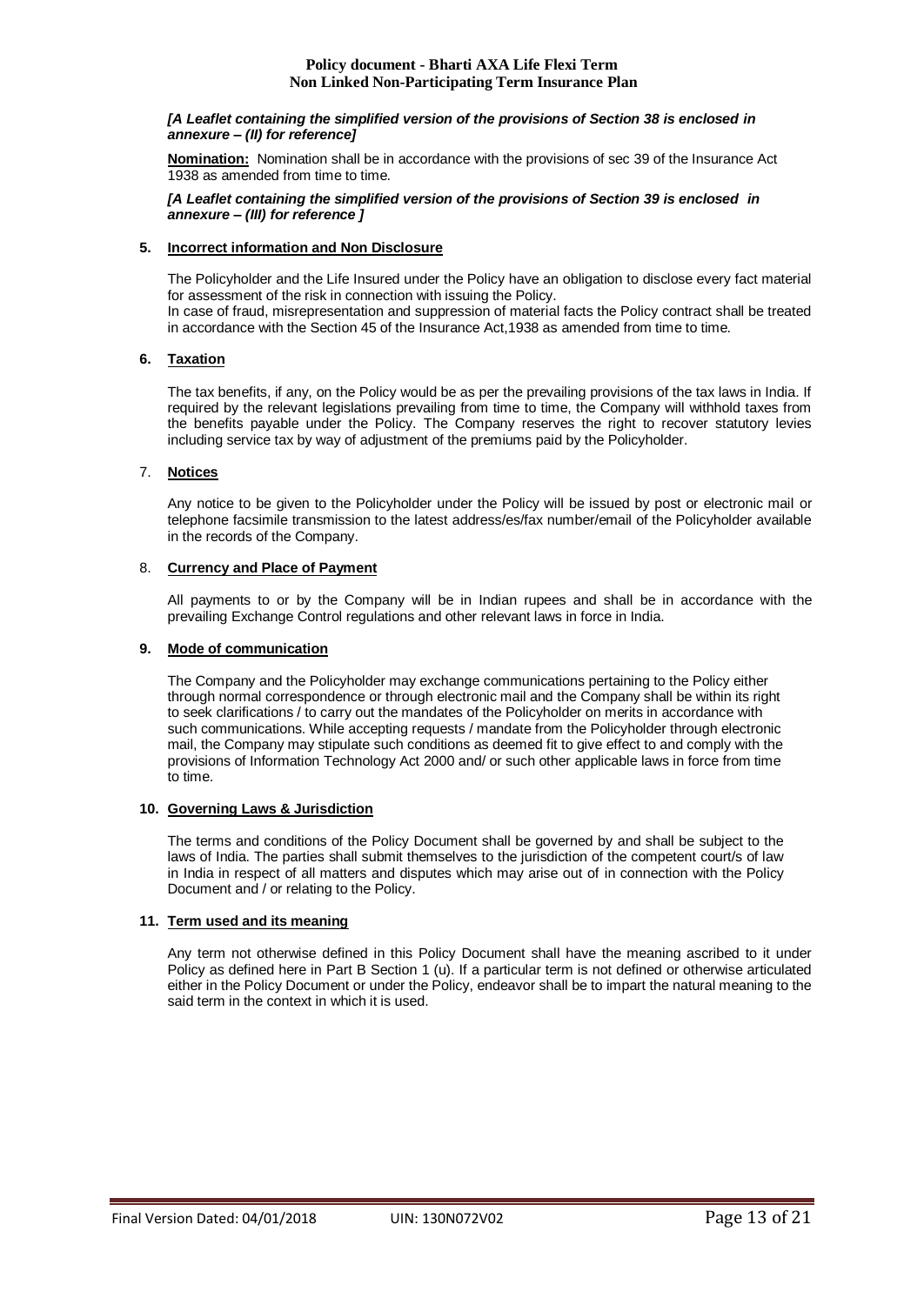#### *[A Leaflet containing the simplified version of the provisions of Section 38 is enclosed in annexure – (II) for reference]*

**Nomination:** Nomination shall be in accordance with the provisions of sec 39 of the Insurance Act 1938 as amended from time to time.

*[A Leaflet containing the simplified version of the provisions of Section 39 is enclosed in annexure – (III) for reference ]*

# **5. Incorrect information and Non Disclosure**

The Policyholder and the Life Insured under the Policy have an obligation to disclose every fact material for assessment of the risk in connection with issuing the Policy.

In case of fraud, misrepresentation and suppression of material facts the Policy contract shall be treated in accordance with the Section 45 of the Insurance Act,1938 as amended from time to time.

# **6. Taxation**

The tax benefits, if any, on the Policy would be as per the prevailing provisions of the tax laws in India. If required by the relevant legislations prevailing from time to time, the Company will withhold taxes from the benefits payable under the Policy. The Company reserves the right to recover statutory levies including service tax by way of adjustment of the premiums paid by the Policyholder.

# 7. **Notices**

Any notice to be given to the Policyholder under the Policy will be issued by post or electronic mail or telephone facsimile transmission to the latest address/es/fax number/email of the Policyholder available in the records of the Company.

## 8. **Currency and Place of Payment**

All payments to or by the Company will be in Indian rupees and shall be in accordance with the prevailing Exchange Control regulations and other relevant laws in force in India.

## **9. Mode of communication**

The Company and the Policyholder may exchange communications pertaining to the Policy either through normal correspondence or through electronic mail and the Company shall be within its right to seek clarifications / to carry out the mandates of the Policyholder on merits in accordance with such communications. While accepting requests / mandate from the Policyholder through electronic mail, the Company may stipulate such conditions as deemed fit to give effect to and comply with the provisions of Information Technology Act 2000 and/ or such other applicable laws in force from time to time.

# **10. Governing Laws & Jurisdiction**

The terms and conditions of the Policy Document shall be governed by and shall be subject to the laws of India. The parties shall submit themselves to the jurisdiction of the competent court/s of law in India in respect of all matters and disputes which may arise out of in connection with the Policy Document and / or relating to the Policy.

# **11. Term used and its meaning**

Any term not otherwise defined in this Policy Document shall have the meaning ascribed to it under Policy as defined here in Part B Section 1 (u). If a particular term is not defined or otherwise articulated either in the Policy Document or under the Policy, endeavor shall be to impart the natural meaning to the said term in the context in which it is used.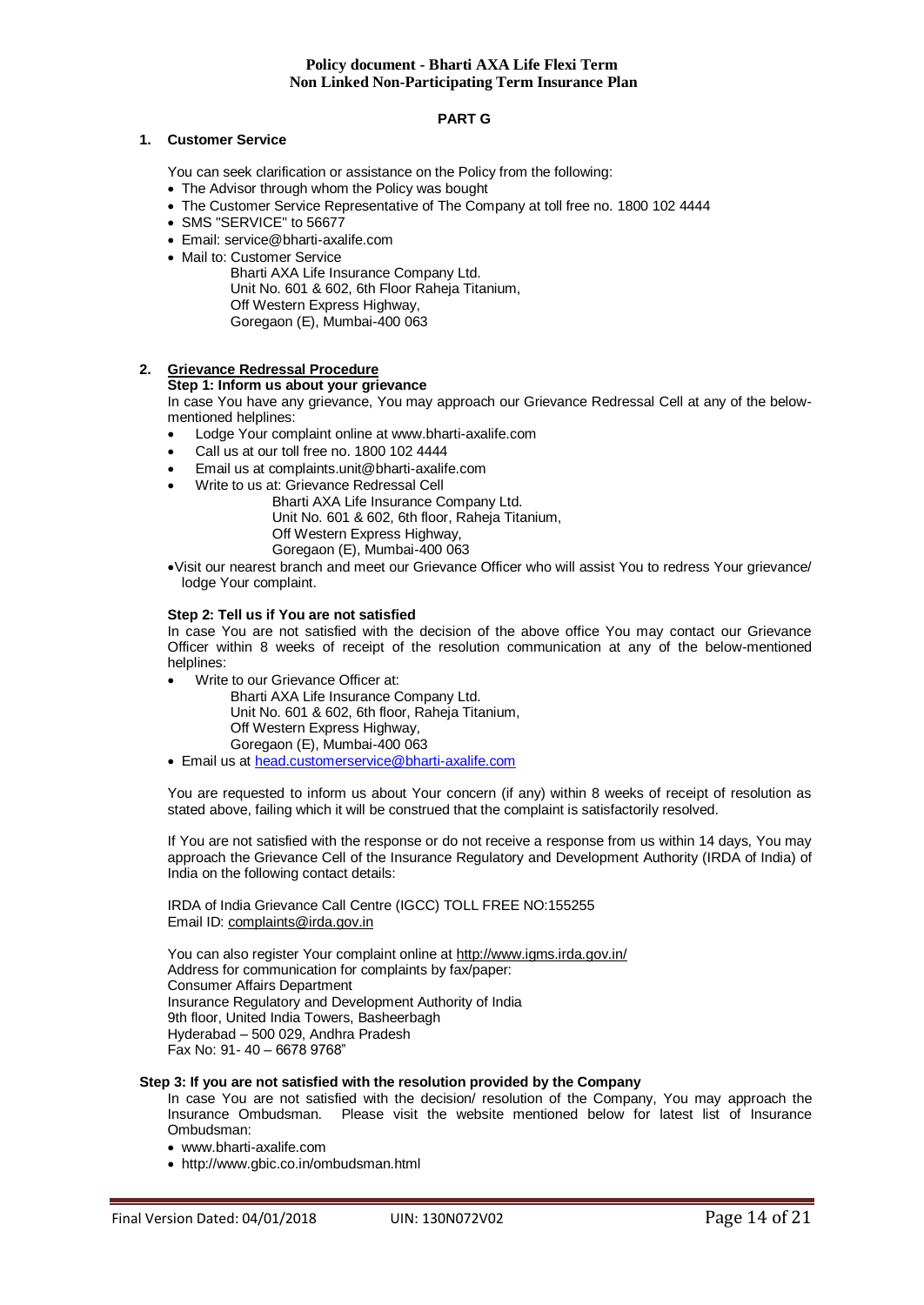# **PART G**

### **1. Customer Service**

You can seek clarification or assistance on the Policy from the following:

- The Advisor through whom the Policy was bought
- The Customer Service Representative of The Company at toll free no. 1800 102 4444
- SMS "SERVICE" to 56677
- Email: service@bharti-axalife.com
- Mail to: Customer Service

Bharti AXA Life Insurance Company Ltd. Unit No. 601 & 602, 6th Floor Raheja Titanium, Off Western Express Highway, Goregaon (E), Mumbai-400 063

# **2. Grievance Redressal Procedure**

# **Step 1: Inform us about your grievance**

In case You have any grievance, You may approach our Grievance Redressal Cell at any of the belowmentioned helplines:

- Lodge Your complaint online at www.bharti-axalife.com
- Call us at our toll free no. 1800 102 4444
- Email us at complaints.unit@bharti-axalife.com
- Write to us at: Grievance Redressal Cell

Bharti AXA Life Insurance Company Ltd. Unit No. 601 & 602, 6th floor, Raheja Titanium, Off Western Express Highway,

Goregaon (E), Mumbai-400 063

Visit our nearest branch and meet our Grievance Officer who will assist You to redress Your grievance/ lodge Your complaint.

## **Step 2: Tell us if You are not satisfied**

In case You are not satisfied with the decision of the above office You may contact our Grievance Officer within 8 weeks of receipt of the resolution communication at any of the below-mentioned helplines:

Write to our Grievance Officer at:

Bharti AXA Life Insurance Company Ltd. Unit No. 601 & 602, 6th floor, Raheja Titanium, Off Western Express Highway, Goregaon (E), Mumbai-400 063

Email us at [head.customerservice@bharti-axalife.com](mailto:head.customerservice@bharti-axalife.com)

You are requested to inform us about Your concern (if any) within 8 weeks of receipt of resolution as stated above, failing which it will be construed that the complaint is satisfactorily resolved.

If You are not satisfied with the response or do not receive a response from us within 14 days, You may approach the Grievance Cell of the Insurance Regulatory and Development Authority (IRDA of India) of India on the following contact details:

IRDA of India Grievance Call Centre (IGCC) TOLL FREE NO:155255 Email ID: [complaints@irda.gov.in](mailto:complaints@irda.gov.in)

You can also register Your complaint online at<http://www.igms.irda.gov.in/> Address for communication for complaints by fax/paper: Consumer Affairs Department Insurance Regulatory and Development Authority of India 9th floor, United India Towers, Basheerbagh Hyderabad – 500 029, Andhra Pradesh Fax No: 91- 40 – 6678 9768"

#### **Step 3: If you are not satisfied with the resolution provided by the Company**

In case You are not satisfied with the decision/ resolution of the Company, You may approach the Insurance Ombudsman. Please visit the website mentioned below for latest list of Insurance Ombudsman:

- www.bharti-axalife.com
- http://www.gbic.co.in/ombudsman.html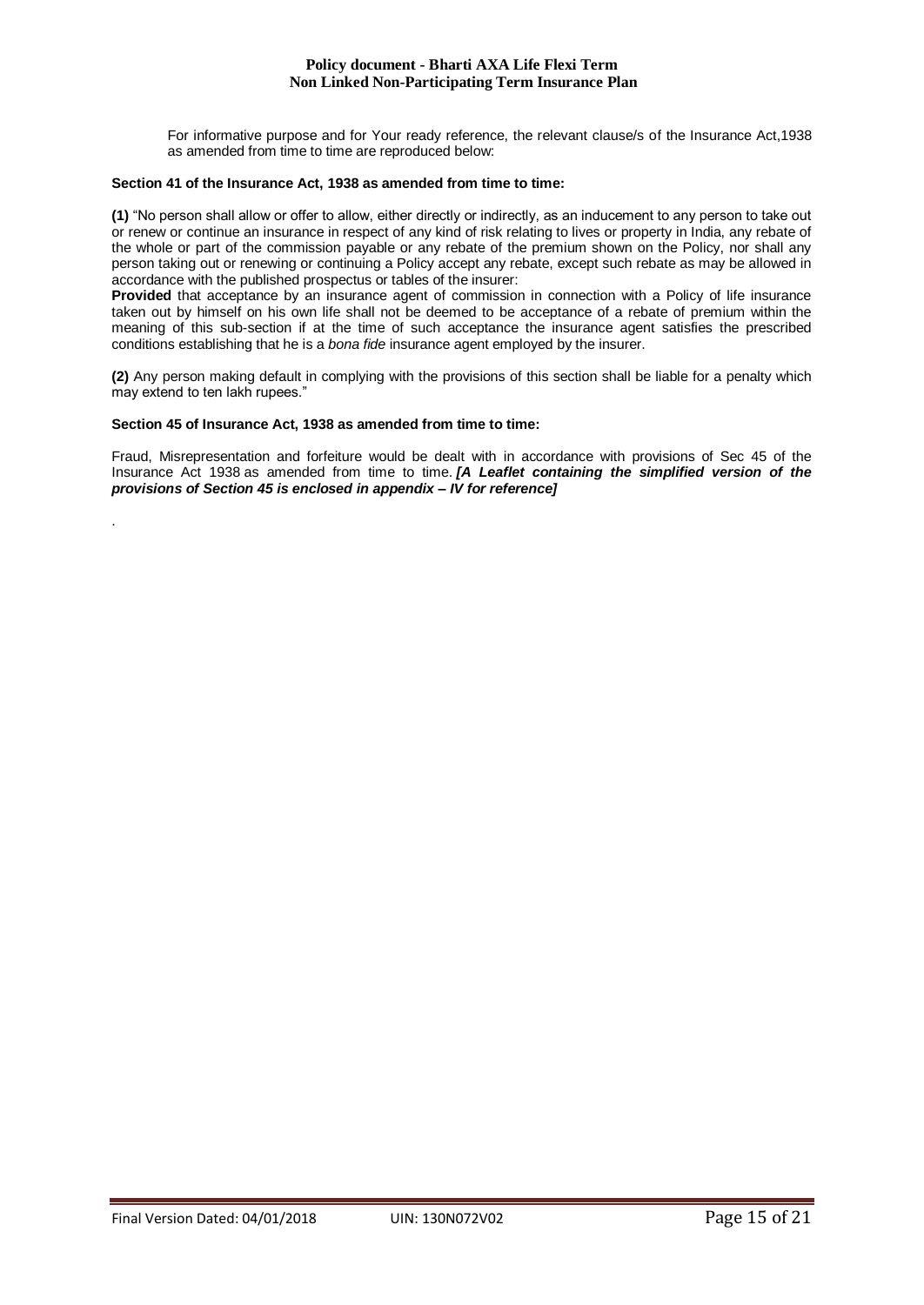For informative purpose and for Your ready reference, the relevant clause/s of the Insurance Act,1938 as amended from time to time are reproduced below:

#### **Section 41 of the Insurance Act, 1938 as amended from time to time:**

**(1)** "No person shall allow or offer to allow, either directly or indirectly, as an inducement to any person to take out or renew or continue an insurance in respect of any kind of risk relating to lives or property in India, any rebate of the whole or part of the commission payable or any rebate of the premium shown on the Policy, nor shall any person taking out or renewing or continuing a Policy accept any rebate, except such rebate as may be allowed in accordance with the published prospectus or tables of the insurer:

**Provided** that acceptance by an insurance agent of commission in connection with a Policy of life insurance taken out by himself on his own life shall not be deemed to be acceptance of a rebate of premium within the meaning of this sub-section if at the time of such acceptance the insurance agent satisfies the prescribed conditions establishing that he is a *bona fide* insurance agent employed by the insurer.

**(2)** Any person making default in complying with the provisions of this section shall be liable for a penalty which may extend to ten lakh rupees."

## **Section 45 of Insurance Act, 1938 as amended from time to time:**

.

Fraud, Misrepresentation and forfeiture would be dealt with in accordance with provisions of Sec 45 of the Insurance Act 1938 as amended from time to time. *[A Leaflet containing the simplified version of the provisions of Section 45 is enclosed in appendix – IV for reference]*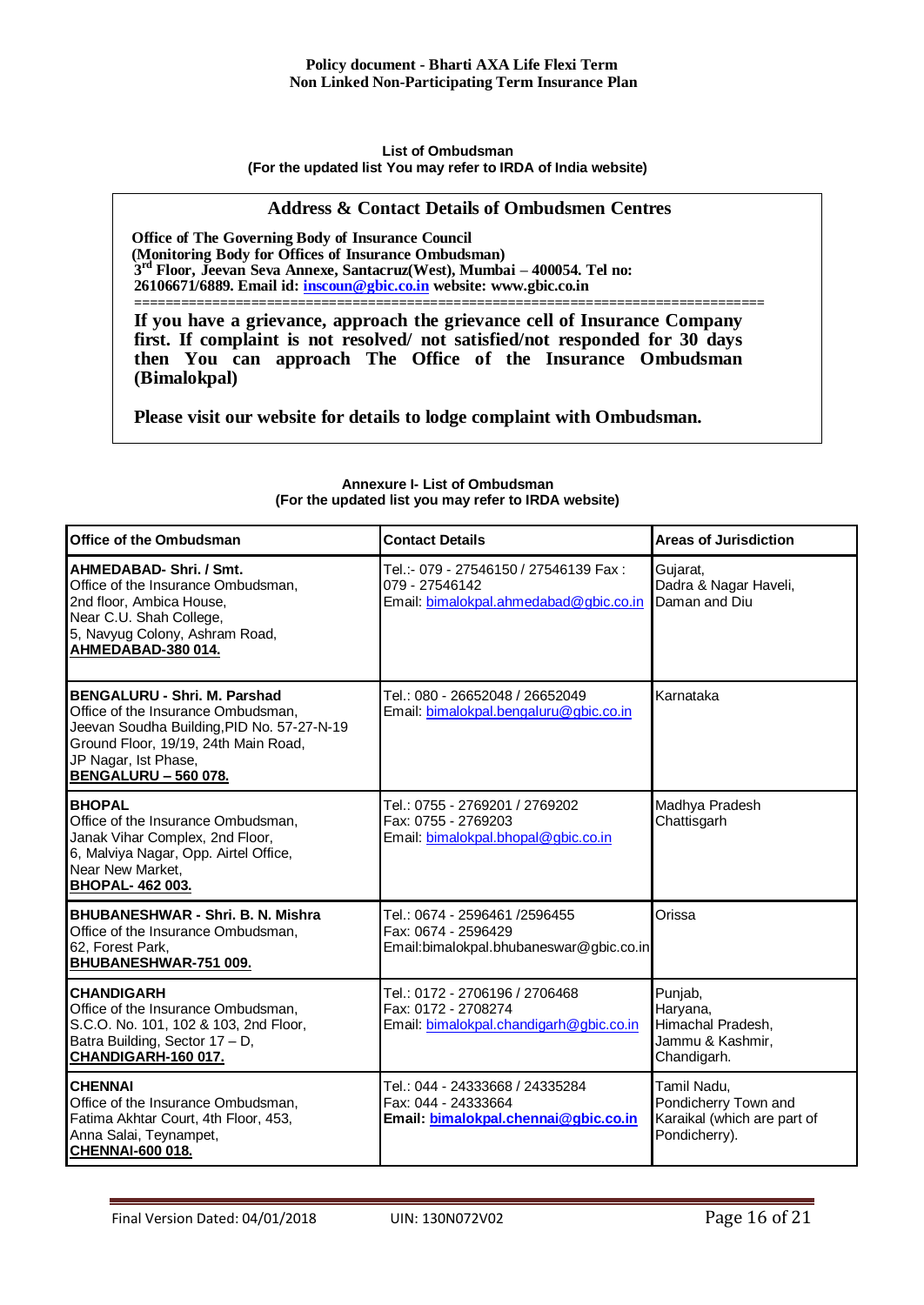#### **List of Ombudsman (For the updated list You may refer to IRDA of India website)**

# **Address & Contact Details of Ombudsmen Centres**

**Office of The Governing Body of Insurance Council (Monitoring Body for Offices of Insurance Ombudsman) 3 rd Floor, Jeevan Seva Annexe, Santacruz(West), Mumbai – 400054. Tel no: 26106671/6889. Email id: [inscoun@gbic.co.in](mailto:inscoun@gbic.co.in) website: [www.gbic.co.in](http://www.gbic.co.in/)**

**================================================================================= If you have a grievance, approach the grievance cell of Insurance Company first. If complaint is not resolved/ not satisfied/not responded for 30 days then You can approach The Office of the Insurance Ombudsman (Bimalokpal)** 

**Please visit our website for details to lodge complaint with Ombudsman.**

| Office of the Ombudsman                                                                                                                                                                                                | <b>Contact Details</b>                                                                            | Areas of Jurisdiction                                                               |
|------------------------------------------------------------------------------------------------------------------------------------------------------------------------------------------------------------------------|---------------------------------------------------------------------------------------------------|-------------------------------------------------------------------------------------|
| AHMEDABAD-Shri. / Smt.<br>Office of the Insurance Ombudsman.<br>2nd floor, Ambica House,<br>Near C.U. Shah College,<br>5, Navyug Colony, Ashram Road,<br>AHMEDABAD-380 014.                                            | Tel.:- 079 - 27546150 / 27546139 Fax:<br>079 - 27546142<br>Email: bimalokpal.ahmedabad@gbic.co.in | Gujarat,<br>Dadra & Nagar Haveli,<br>Daman and Diu                                  |
| <b>BENGALURU - Shri. M. Parshad</b><br>Office of the Insurance Ombudsman,<br>Jeevan Soudha Building, PID No. 57-27-N-19<br>Ground Floor, 19/19, 24th Main Road,<br>JP Nagar, Ist Phase,<br><b>BENGALURU - 560 078.</b> | Tel.: 080 - 26652048 / 26652049<br>Email: bimalokpal.bengaluru@gbic.co.in                         | Karnataka                                                                           |
| <b>BHOPAL</b><br>Office of the Insurance Ombudsman,<br>Janak Vihar Complex, 2nd Floor,<br>6, Malviya Nagar, Opp. Airtel Office,<br>Near New Market,<br>BHOPAL- 462 003.                                                | Tel.: 0755 - 2769201 / 2769202<br>Fax: 0755 - 2769203<br>Email: bimalokpal.bhopal@gbic.co.in      | Madhya Pradesh<br>Chattisgarh                                                       |
| <b>BHUBANESHWAR - Shri, B. N. Mishra</b><br>Office of the Insurance Ombudsman,<br>62, Forest Park,<br>BHUBANESHWAR-751 009.                                                                                            | Tel.: 0674 - 2596461 /2596455<br>Fax: 0674 - 2596429<br>Email:bimalokpal.bhubaneswar@gbic.co.in   | Orissa                                                                              |
| <b>CHANDIGARH</b><br>Office of the Insurance Ombudsman,<br>S.C.O. No. 101, 102 & 103, 2nd Floor,<br>Batra Building, Sector 17 - D,<br>CHANDIGARH-160 017.                                                              | Tel.: 0172 - 2706196 / 2706468<br>Fax: 0172 - 2708274<br>Email: bimalokpal.chandigarh@gbic.co.in  | Punjab,<br>Haryana,<br>Himachal Pradesh,<br>Jammu & Kashmir,<br>Chandigarh.         |
| <b>CHENNAI</b><br>Office of the Insurance Ombudsman,<br>Fatima Akhtar Court, 4th Floor, 453,<br>Anna Salai, Teynampet,<br><b>CHENNAI-600 018.</b>                                                                      | Tel.: 044 - 24333668 / 24335284<br>Fax: 044 - 24333664<br>Email: bimalokpal.chennai@gbic.co.in    | Tamil Nadu.<br>Pondicherry Town and<br>Karaikal (which are part of<br>Pondicherry). |

#### **Annexure I- List of Ombudsman (For the updated list you may refer to IRDA website)**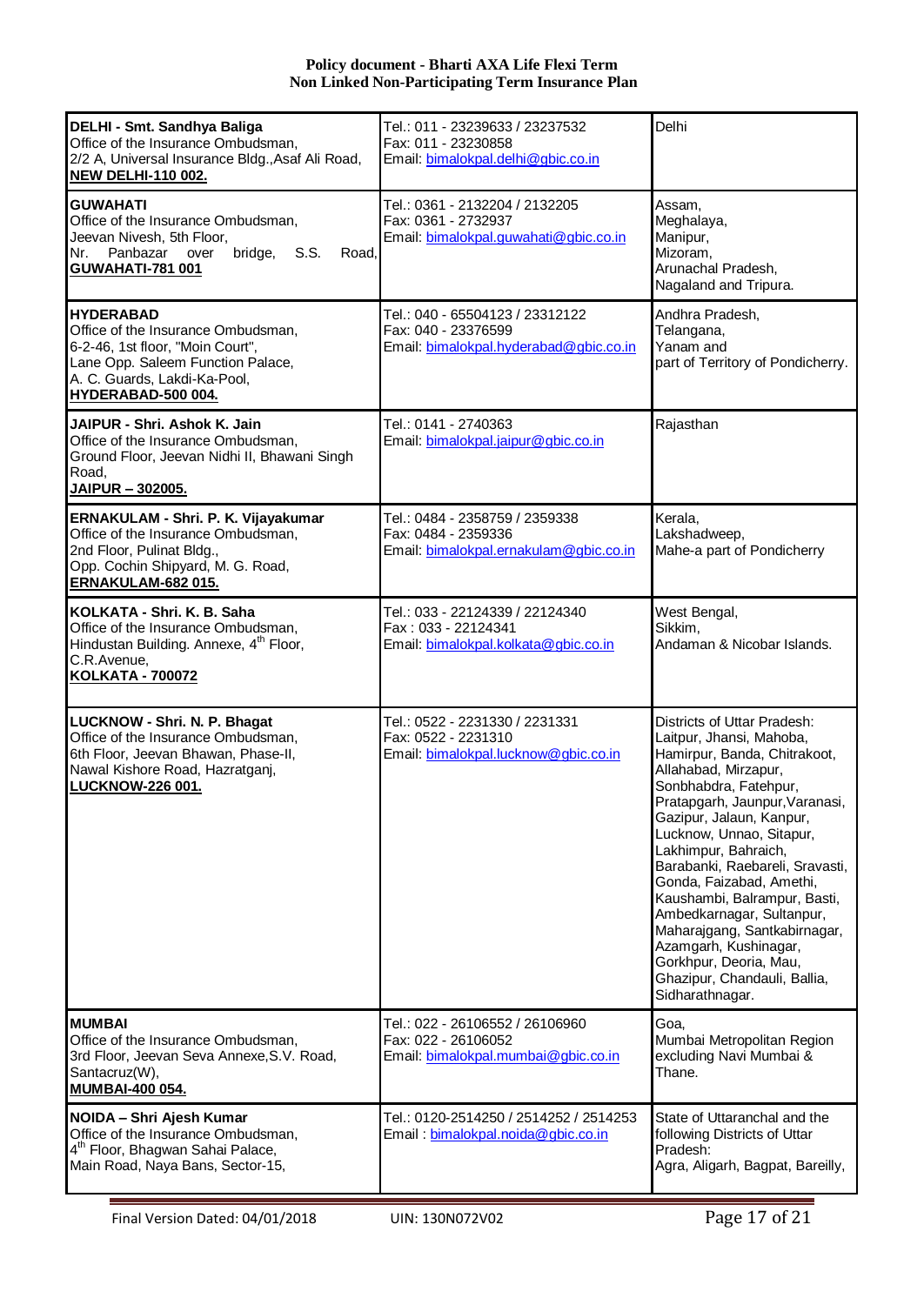| DELHI - Smt. Sandhya Baliga<br>Office of the Insurance Ombudsman,<br>2/2 A, Universal Insurance Bldg., Asaf Ali Road,<br><b>NEW DELHI-110 002.</b>                             | Tel.: 011 - 23239633 / 23237532<br>Fax: 011 - 23230858<br>Email: bimalokpal.delhi@gbic.co.in     | Delhi                                                                                                                                                                                                                                                                                                                                                                                                                                                                                                                        |
|--------------------------------------------------------------------------------------------------------------------------------------------------------------------------------|--------------------------------------------------------------------------------------------------|------------------------------------------------------------------------------------------------------------------------------------------------------------------------------------------------------------------------------------------------------------------------------------------------------------------------------------------------------------------------------------------------------------------------------------------------------------------------------------------------------------------------------|
| <b>GUWAHATI</b><br>Office of the Insurance Ombudsman,<br>Jeevan Nivesh, 5th Floor,<br>Panbazar over<br>bridge, S.S.<br>Nr.<br>Road,<br>GUWAHATI-781 001                        | Tel.: 0361 - 2132204 / 2132205<br>Fax: 0361 - 2732937<br>Email: bimalokpal.guwahati@gbic.co.in   | Assam.<br>Meghalaya,<br>Manipur,<br>Mizoram,<br>Arunachal Pradesh,<br>Nagaland and Tripura.                                                                                                                                                                                                                                                                                                                                                                                                                                  |
| HYDERABAD<br>Office of the Insurance Ombudsman,<br>6-2-46, 1st floor, "Moin Court",<br>Lane Opp. Saleem Function Palace,<br>A. C. Guards, Lakdi-Ka-Pool,<br>HYDERABAD-500 004. | Tel.: 040 - 65504123 / 23312122<br>Fax: 040 - 23376599<br>Email: bimalokpal.hyderabad@gbic.co.in | Andhra Pradesh,<br>Telangana,<br>Yanam and<br>part of Territory of Pondicherry.                                                                                                                                                                                                                                                                                                                                                                                                                                              |
| JAIPUR - Shri, Ashok K. Jain<br>Office of the Insurance Ombudsman,<br>Ground Floor, Jeevan Nidhi II, Bhawani Singh<br>Road,<br><u>JAIPUR – 302005.</u>                         | Tel.: 0141 - 2740363<br>Email: bimalokpal.jaipur@gbic.co.in                                      | Rajasthan                                                                                                                                                                                                                                                                                                                                                                                                                                                                                                                    |
| ERNAKULAM - Shri. P. K. Vijayakumar<br>Office of the Insurance Ombudsman,<br>2nd Floor, Pulinat Bldg.,<br>Opp. Cochin Shipyard, M. G. Road,<br>ERNAKULAM-682 015.              | Tel.: 0484 - 2358759 / 2359338<br>Fax: 0484 - 2359336<br>Email: bimalokpal.ernakulam@gbic.co.in  | Kerala,<br>Lakshadweep,<br>Mahe-a part of Pondicherry                                                                                                                                                                                                                                                                                                                                                                                                                                                                        |
| KOLKATA - Shri. K. B. Saha<br>Office of the Insurance Ombudsman,<br>Hindustan Building. Annexe, 4 <sup>th</sup> Floor,<br>C.R.Avenue,<br><b>KOLKATA - 700072</b>               | Tel.: 033 - 22124339 / 22124340<br>Fax: 033 - 22124341<br>Email: bimalokpal.kolkata@gbic.co.in   | West Bengal,<br>Sikkim,<br>Andaman & Nicobar Islands.                                                                                                                                                                                                                                                                                                                                                                                                                                                                        |
| LUCKNOW - Shri. N. P. Bhagat<br>Office of the Insurance Ombudsman,<br>6th Floor, Jeevan Bhawan, Phase-II,<br>Nawal Kishore Road, Hazratganj,<br><b>LUCKNOW-226 001.</b>        | Tel.: 0522 - 2231330 / 2231331<br>Fax: 0522 - 2231310<br>Email: bimalokpal.lucknow@gbic.co.in    | Districts of Uttar Pradesh:<br>Laitpur, Jhansi, Mahoba,<br>Hamirpur, Banda, Chitrakoot,<br>Allahabad, Mirzapur,<br>Sonbhabdra, Fatehpur,<br>Pratapgarh, Jaunpur, Varanasi,<br>Gazipur, Jalaun, Kanpur,<br>Lucknow, Unnao, Sitapur,<br>Lakhimpur, Bahraich,<br>Barabanki, Raebareli, Sravasti,<br>Gonda, Faizabad, Amethi,<br>Kaushambi, Balrampur, Basti,<br>Ambedkarnagar, Sultanpur,<br>Maharajgang, Santkabirnagar,<br>Azamgarh, Kushinagar,<br>Gorkhpur, Deoria, Mau,<br>Ghazipur, Chandauli, Ballia,<br>Sidharathnagar. |
| <b>MUMBAI</b><br>Office of the Insurance Ombudsman,<br>3rd Floor, Jeevan Seva Annexe, S.V. Road,<br>Santacruz(W),<br>MUMBAI-400 054.                                           | Tel.: 022 - 26106552 / 26106960<br>Fax: 022 - 26106052<br>Email: bimalokpal.mumbai@gbic.co.in    | Goa.<br>Mumbai Metropolitan Region<br>excluding Navi Mumbai &<br>Thane.                                                                                                                                                                                                                                                                                                                                                                                                                                                      |
| NOIDA – Shri Ajesh Kumar<br>Office of the Insurance Ombudsman,<br>4 <sup>th</sup> Floor, Bhagwan Sahai Palace,<br>Main Road, Naya Bans, Sector-15,                             | Tel.: 0120-2514250 / 2514252 / 2514253<br>Email: bimalokpal.noida@gbic.co.in                     | State of Uttaranchal and the<br>following Districts of Uttar<br>Pradesh:<br>Agra, Aligarh, Bagpat, Bareilly,                                                                                                                                                                                                                                                                                                                                                                                                                 |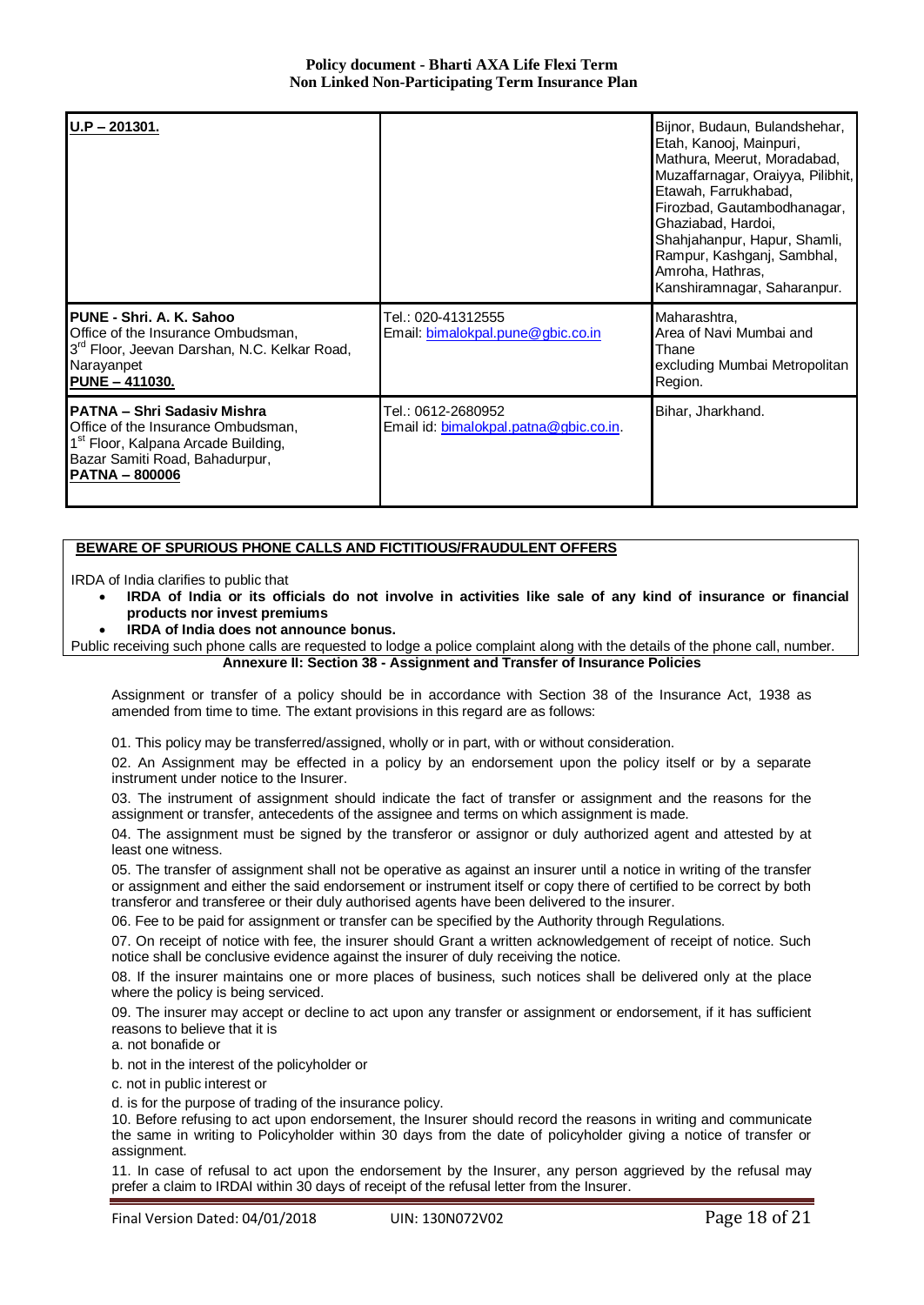| $U.P - 201301.$                                                                                                                                                                 |                                                              | Bijnor, Budaun, Bulandshehar,<br>Etah, Kanooj, Mainpuri,<br>Mathura, Meerut, Moradabad,<br>Muzaffarnagar, Oraiyya, Pilibhit,<br>Etawah, Farrukhabad,<br>Firozbad, Gautambodhanagar,<br>Ghaziabad, Hardoi,<br>Shahjahanpur, Hapur, Shamli,<br>Rampur, Kashganj, Sambhal,<br>Amroha, Hathras,<br>Kanshiramnagar, Saharanpur. |
|---------------------------------------------------------------------------------------------------------------------------------------------------------------------------------|--------------------------------------------------------------|----------------------------------------------------------------------------------------------------------------------------------------------------------------------------------------------------------------------------------------------------------------------------------------------------------------------------|
| PUNE - Shri, A. K. Sahoo<br>Office of the Insurance Ombudsman,<br>3 <sup>rd</sup> Floor, Jeevan Darshan, N.C. Kelkar Road,<br>Narayanpet<br><b>PUNE - 411030.</b>               | Tel.: 020-41312555<br>Email: bimalokpal.pune@gbic.co.in      | Maharashtra,<br>Area of Navi Mumbai and<br>Thane<br>excluding Mumbai Metropolitan<br>Region.                                                                                                                                                                                                                               |
| PATNA - Shri Sadasiy Mishra<br>Office of the Insurance Ombudsman,<br>1 <sup>st</sup> Floor, Kalpana Arcade Building,<br>Bazar Samiti Road, Bahadurpur,<br><b>PATNA - 800006</b> | Tel.: 0612-2680952<br>Email id: bimalokpal.patna@gbic.co.in. | Bihar, Jharkhand.                                                                                                                                                                                                                                                                                                          |

# **BEWARE OF SPURIOUS PHONE CALLS AND FICTITIOUS/FRAUDULENT OFFERS**

IRDA of India clarifies to public that

- **IRDA of India or its officials do not involve in activities like sale of any kind of insurance or financial products nor invest premiums**
- **IRDA of India does not announce bonus.**

Public receiving such phone calls are requested to lodge a police complaint along with the details of the phone call, number. **Annexure II: Section 38 - Assignment and Transfer of Insurance Policies**

Assignment or transfer of a policy should be in accordance with Section 38 of the Insurance Act, 1938 as amended from time to time. The extant provisions in this regard are as follows:

01. This policy may be transferred/assigned, wholly or in part, with or without consideration.

02. An Assignment may be effected in a policy by an endorsement upon the policy itself or by a separate instrument under notice to the Insurer.

03. The instrument of assignment should indicate the fact of transfer or assignment and the reasons for the assignment or transfer, antecedents of the assignee and terms on which assignment is made.

04. The assignment must be signed by the transferor or assignor or duly authorized agent and attested by at least one witness.

05. The transfer of assignment shall not be operative as against an insurer until a notice in writing of the transfer or assignment and either the said endorsement or instrument itself or copy there of certified to be correct by both transferor and transferee or their duly authorised agents have been delivered to the insurer.

06. Fee to be paid for assignment or transfer can be specified by the Authority through Regulations.

07. On receipt of notice with fee, the insurer should Grant a written acknowledgement of receipt of notice. Such notice shall be conclusive evidence against the insurer of duly receiving the notice.

08. If the insurer maintains one or more places of business, such notices shall be delivered only at the place where the policy is being serviced.

09. The insurer may accept or decline to act upon any transfer or assignment or endorsement, if it has sufficient reasons to believe that it is

a. not bonafide or

b. not in the interest of the policyholder or

c. not in public interest or

d. is for the purpose of trading of the insurance policy.

10. Before refusing to act upon endorsement, the Insurer should record the reasons in writing and communicate the same in writing to Policyholder within 30 days from the date of policyholder giving a notice of transfer or assignment.

11. In case of refusal to act upon the endorsement by the Insurer, any person aggrieved by the refusal may prefer a claim to IRDAI within 30 days of receipt of the refusal letter from the Insurer.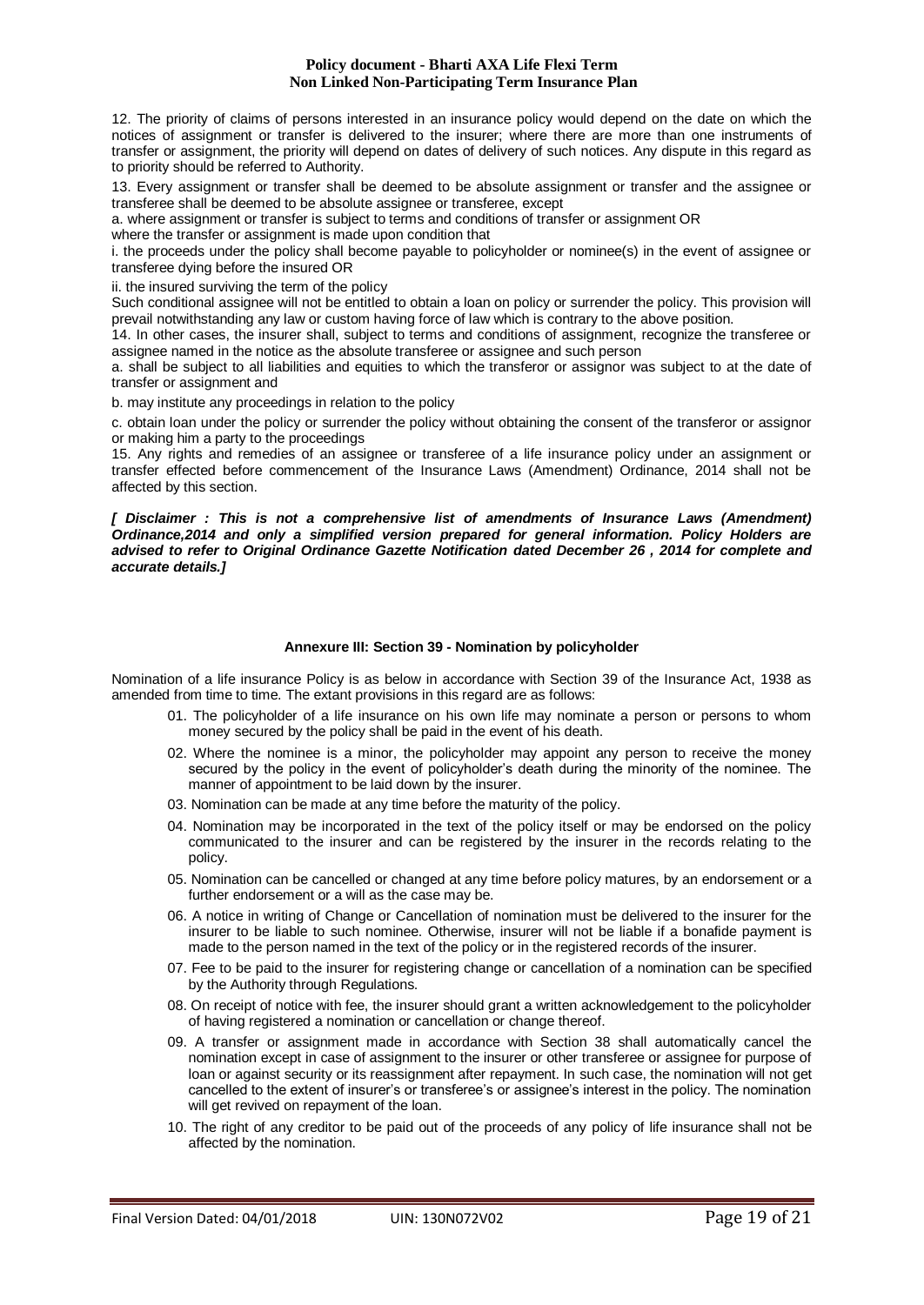12. The priority of claims of persons interested in an insurance policy would depend on the date on which the notices of assignment or transfer is delivered to the insurer; where there are more than one instruments of transfer or assignment, the priority will depend on dates of delivery of such notices. Any dispute in this regard as to priority should be referred to Authority.

13. Every assignment or transfer shall be deemed to be absolute assignment or transfer and the assignee or transferee shall be deemed to be absolute assignee or transferee, except

a. where assignment or transfer is subject to terms and conditions of transfer or assignment OR

where the transfer or assignment is made upon condition that

i. the proceeds under the policy shall become payable to policyholder or nominee(s) in the event of assignee or transferee dying before the insured OR

ii. the insured surviving the term of the policy

Such conditional assignee will not be entitled to obtain a loan on policy or surrender the policy. This provision will prevail notwithstanding any law or custom having force of law which is contrary to the above position.

14. In other cases, the insurer shall, subject to terms and conditions of assignment, recognize the transferee or assignee named in the notice as the absolute transferee or assignee and such person

a. shall be subject to all liabilities and equities to which the transferor or assignor was subject to at the date of transfer or assignment and

b. may institute any proceedings in relation to the policy

c. obtain loan under the policy or surrender the policy without obtaining the consent of the transferor or assignor or making him a party to the proceedings

15. Any rights and remedies of an assignee or transferee of a life insurance policy under an assignment or transfer effected before commencement of the Insurance Laws (Amendment) Ordinance, 2014 shall not be affected by this section.

*[ Disclaimer : This is not a comprehensive list of amendments of Insurance Laws (Amendment) Ordinance,2014 and only a simplified version prepared for general information. Policy Holders are advised to refer to Original Ordinance Gazette Notification dated December 26 , 2014 for complete and accurate details.]*

## **Annexure III: Section 39 - Nomination by policyholder**

Nomination of a life insurance Policy is as below in accordance with Section 39 of the Insurance Act, 1938 as amended from time to time. The extant provisions in this regard are as follows:

- 01. The policyholder of a life insurance on his own life may nominate a person or persons to whom money secured by the policy shall be paid in the event of his death.
- 02. Where the nominee is a minor, the policyholder may appoint any person to receive the money secured by the policy in the event of policyholder's death during the minority of the nominee. The manner of appointment to be laid down by the insurer.
- 03. Nomination can be made at any time before the maturity of the policy.
- 04. Nomination may be incorporated in the text of the policy itself or may be endorsed on the policy communicated to the insurer and can be registered by the insurer in the records relating to the policy.
- 05. Nomination can be cancelled or changed at any time before policy matures, by an endorsement or a further endorsement or a will as the case may be.
- 06. A notice in writing of Change or Cancellation of nomination must be delivered to the insurer for the insurer to be liable to such nominee. Otherwise, insurer will not be liable if a bonafide payment is made to the person named in the text of the policy or in the registered records of the insurer.
- 07. Fee to be paid to the insurer for registering change or cancellation of a nomination can be specified by the Authority through Regulations.
- 08. On receipt of notice with fee, the insurer should grant a written acknowledgement to the policyholder of having registered a nomination or cancellation or change thereof.
- 09. A transfer or assignment made in accordance with Section 38 shall automatically cancel the nomination except in case of assignment to the insurer or other transferee or assignee for purpose of loan or against security or its reassignment after repayment. In such case, the nomination will not get cancelled to the extent of insurer's or transferee's or assignee's interest in the policy. The nomination will get revived on repayment of the loan.
- 10. The right of any creditor to be paid out of the proceeds of any policy of life insurance shall not be affected by the nomination.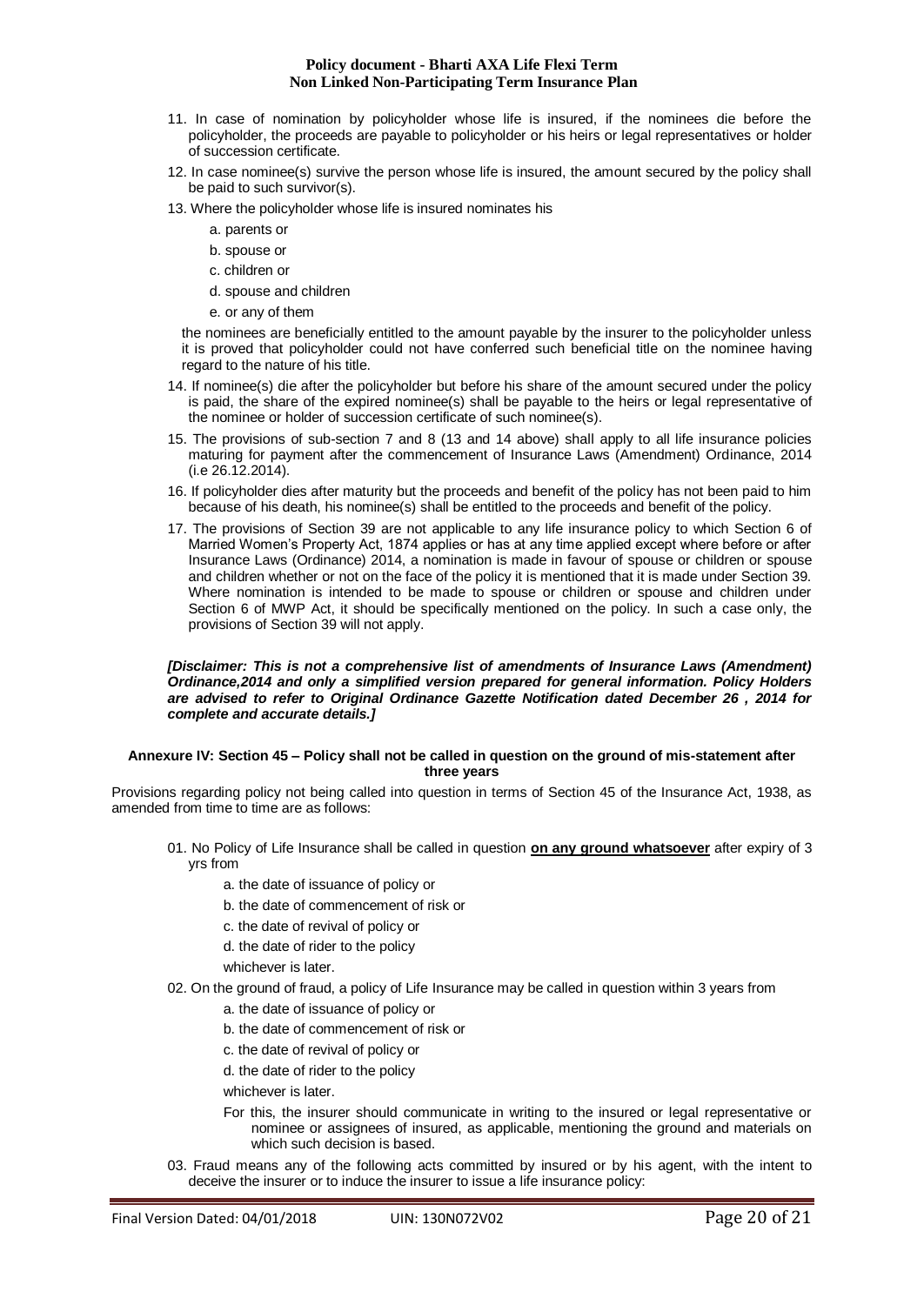- 11. In case of nomination by policyholder whose life is insured, if the nominees die before the policyholder, the proceeds are payable to policyholder or his heirs or legal representatives or holder of succession certificate.
- 12. In case nominee(s) survive the person whose life is insured, the amount secured by the policy shall be paid to such survivor(s).
- 13. Where the policyholder whose life is insured nominates his
	- a. parents or
	- b. spouse or
	- c. children or
	- d. spouse and children
	- e. or any of them

the nominees are beneficially entitled to the amount payable by the insurer to the policyholder unless it is proved that policyholder could not have conferred such beneficial title on the nominee having regard to the nature of his title.

- 14. If nominee(s) die after the policyholder but before his share of the amount secured under the policy is paid, the share of the expired nominee(s) shall be payable to the heirs or legal representative of the nominee or holder of succession certificate of such nominee(s).
- 15. The provisions of sub-section 7 and 8 (13 and 14 above) shall apply to all life insurance policies maturing for payment after the commencement of Insurance Laws (Amendment) Ordinance, 2014 (i.e 26.12.2014).
- 16. If policyholder dies after maturity but the proceeds and benefit of the policy has not been paid to him because of his death, his nominee(s) shall be entitled to the proceeds and benefit of the policy.
- 17. The provisions of Section 39 are not applicable to any life insurance policy to which Section 6 of Married Women's Property Act, 1874 applies or has at any time applied except where before or after Insurance Laws (Ordinance) 2014, a nomination is made in favour of spouse or children or spouse and children whether or not on the face of the policy it is mentioned that it is made under Section 39. Where nomination is intended to be made to spouse or children or spouse and children under Section 6 of MWP Act, it should be specifically mentioned on the policy. In such a case only, the provisions of Section 39 will not apply.

#### *[Disclaimer: This is not a comprehensive list of amendments of Insurance Laws (Amendment) Ordinance,2014 and only a simplified version prepared for general information. Policy Holders are advised to refer to Original Ordinance Gazette Notification dated December 26 , 2014 for complete and accurate details.]*

## **Annexure IV: Section 45 – Policy shall not be called in question on the ground of mis-statement after three years**

Provisions regarding policy not being called into question in terms of Section 45 of the Insurance Act, 1938, as amended from time to time are as follows:

- 01. No Policy of Life Insurance shall be called in question **on any ground whatsoever** after expiry of 3 yrs from
	- a. the date of issuance of policy or
	- b. the date of commencement of risk or
	- c. the date of revival of policy or
	- d. the date of rider to the policy

whichever is later.

- 02. On the ground of fraud, a policy of Life Insurance may be called in question within 3 years from
	- a. the date of issuance of policy or
	- b. the date of commencement of risk or
	- c. the date of revival of policy or
	- d. the date of rider to the policy

whichever is later.

- For this, the insurer should communicate in writing to the insured or legal representative or nominee or assignees of insured, as applicable, mentioning the ground and materials on which such decision is based.
- 03. Fraud means any of the following acts committed by insured or by his agent, with the intent to deceive the insurer or to induce the insurer to issue a life insurance policy: